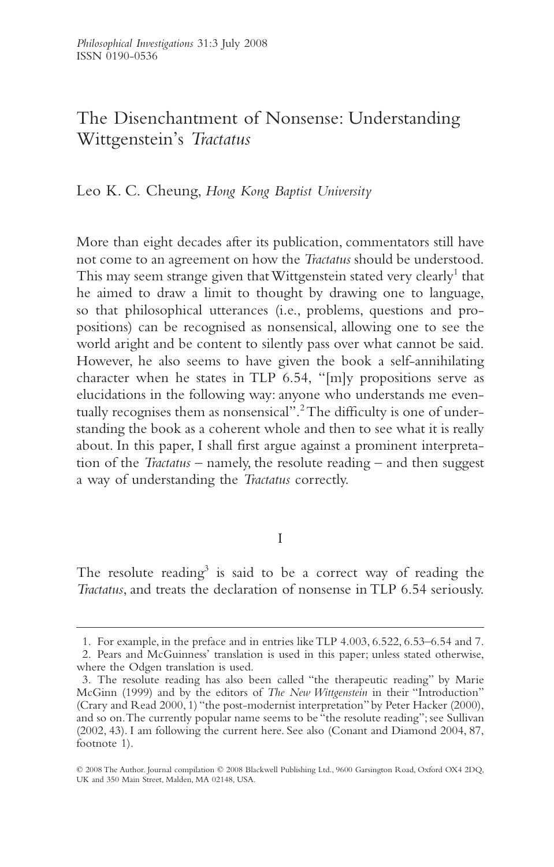# The Disenchantment of Nonsense: Understanding Wittgenstein's *Tractatus*

Leo K. C. Cheung, *Hong Kong Baptist University*

More than eight decades after its publication, commentators still have not come to an agreement on how the *Tractatus* should be understood. This may seem strange given that Wittgenstein stated very clearly<sup>1</sup> that he aimed to draw a limit to thought by drawing one to language, so that philosophical utterances (i.e., problems, questions and propositions) can be recognised as nonsensical, allowing one to see the world aright and be content to silently pass over what cannot be said. However, he also seems to have given the book a self-annihilating character when he states in TLP 6.54, "[m]y propositions serve as elucidations in the following way: anyone who understands me eventually recognises them as nonsensical".<sup>2</sup>The difficulty is one of understanding the book as a coherent whole and then to see what it is really about. In this paper, I shall first argue against a prominent interpretation of the *Tractatus* – namely, the resolute reading – and then suggest a way of understanding the *Tractatus* correctly.

I

The resolute reading<sup>3</sup> is said to be a correct way of reading the *Tractatus*, and treats the declaration of nonsense in TLP 6.54 seriously.

where the Odgen translation is used.

<sup>1.</sup> For example, in the preface and in entries like TLP 4.003, 6.522, 6.53–6.54 and 7. 2. Pears and McGuinness' translation is used in this paper; unless stated otherwise,

<sup>3.</sup> The resolute reading has also been called "the therapeutic reading" by Marie McGinn (1999) and by the editors of *The New Wittgenstein* in their "Introduction" (Crary and Read 2000, 1) "the post-modernist interpretation" by Peter Hacker (2000), and so on.The currently popular name seems to be "the resolute reading"; see Sullivan (2002, 43). I am following the current here. See also (Conant and Diamond 2004, 87, footnote 1).

<sup>© 2008</sup> The Author. Journal compilation © 2008 Blackwell Publishing Ltd., 9600 Garsington Road, Oxford OX4 2DQ, UK and 350 Main Street, Malden, MA 02148, USA.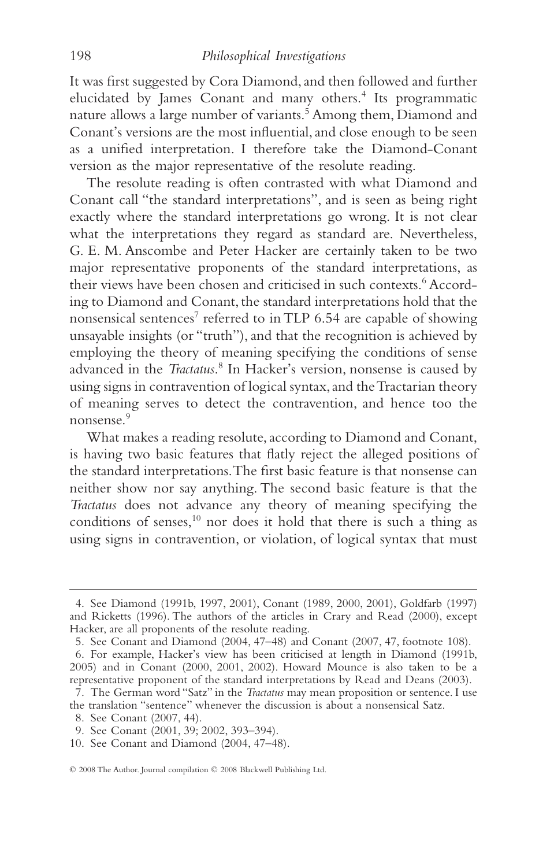It was first suggested by Cora Diamond, and then followed and further elucidated by James Conant and many others.4 Its programmatic nature allows a large number of variants.<sup>5</sup> Among them, Diamond and Conant's versions are the most influential,and close enough to be seen as a unified interpretation. I therefore take the Diamond-Conant version as the major representative of the resolute reading.

The resolute reading is often contrasted with what Diamond and Conant call "the standard interpretations", and is seen as being right exactly where the standard interpretations go wrong. It is not clear what the interpretations they regard as standard are. Nevertheless, G. E. M. Anscombe and Peter Hacker are certainly taken to be two major representative proponents of the standard interpretations, as their views have been chosen and criticised in such contexts.<sup>6</sup> According to Diamond and Conant, the standard interpretations hold that the nonsensical sentences<sup>7</sup> referred to in TLP 6.54 are capable of showing unsayable insights (or "truth"), and that the recognition is achieved by employing the theory of meaning specifying the conditions of sense advanced in the *Tractatus*. <sup>8</sup> In Hacker's version, nonsense is caused by using signs in contravention of logical syntax, and the Tractarian theory of meaning serves to detect the contravention, and hence too the nonsense.<sup>9</sup>

What makes a reading resolute, according to Diamond and Conant, is having two basic features that flatly reject the alleged positions of the standard interpretations.The first basic feature is that nonsense can neither show nor say anything. The second basic feature is that the *Tractatus* does not advance any theory of meaning specifying the conditions of senses, $^{10}$  nor does it hold that there is such a thing as using signs in contravention, or violation, of logical syntax that must

<sup>4.</sup> See Diamond (1991b, 1997, 2001), Conant (1989, 2000, 2001), Goldfarb (1997) and Ricketts (1996). The authors of the articles in Crary and Read (2000), except Hacker, are all proponents of the resolute reading.

<sup>5.</sup> See Conant and Diamond (2004, 47–48) and Conant (2007, 47, footnote 108). 6. For example, Hacker's view has been criticised at length in Diamond (1991b, 2005) and in Conant (2000, 2001, 2002). Howard Mounce is also taken to be a representative proponent of the standard interpretations by Read and Deans (2003).

<sup>7.</sup> The German word "Satz" in the *Tractatus* may mean proposition or sentence. I use the translation "sentence" whenever the discussion is about a nonsensical Satz.

<sup>8.</sup> See Conant (2007, 44).

<sup>9.</sup> See Conant (2001, 39; 2002, 393–394).

<sup>10.</sup> See Conant and Diamond (2004, 47–48).

<sup>© 2008</sup> The Author. Journal compilation © 2008 Blackwell Publishing Ltd.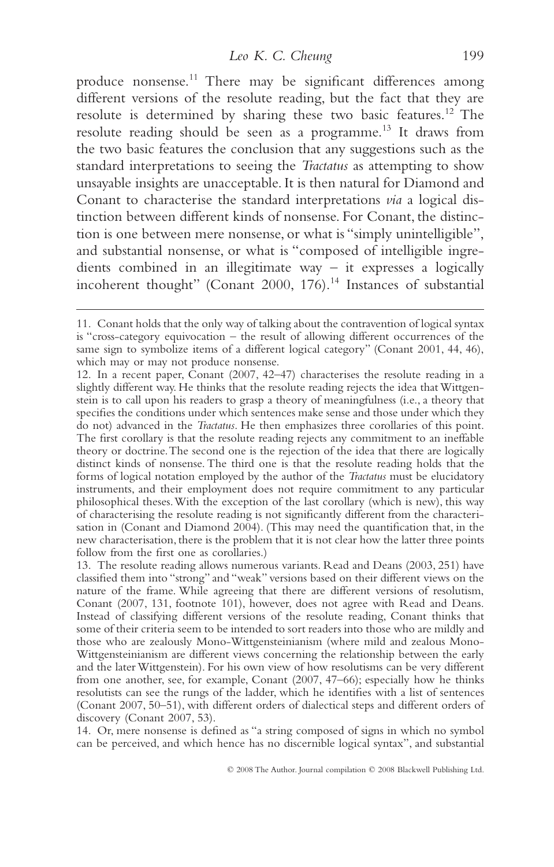produce nonsense.11 There may be significant differences among different versions of the resolute reading, but the fact that they are resolute is determined by sharing these two basic features.<sup>12</sup> The resolute reading should be seen as a programme.<sup>13</sup> It draws from the two basic features the conclusion that any suggestions such as the standard interpretations to seeing the *Tractatus* as attempting to show unsayable insights are unacceptable. It is then natural for Diamond and Conant to characterise the standard interpretations *via* a logical distinction between different kinds of nonsense. For Conant, the distinction is one between mere nonsense, or what is "simply unintelligible", and substantial nonsense, or what is "composed of intelligible ingredients combined in an illegitimate way – it expresses a logically incoherent thought" (Conant 2000,  $176$ ).<sup>14</sup> Instances of substantial

13. The resolute reading allows numerous variants. Read and Deans (2003, 251) have classified them into "strong" and "weak" versions based on their different views on the nature of the frame. While agreeing that there are different versions of resolutism, Conant (2007, 131, footnote 101), however, does not agree with Read and Deans. Instead of classifying different versions of the resolute reading, Conant thinks that some of their criteria seem to be intended to sort readers into those who are mildly and those who are zealously Mono-Wittgensteinianism (where mild and zealous Mono-Wittgensteinianism are different views concerning the relationship between the early and the later Wittgenstein). For his own view of how resolutisms can be very different from one another, see, for example, Conant (2007, 47–66); especially how he thinks resolutists can see the rungs of the ladder, which he identifies with a list of sentences (Conant 2007, 50–51), with different orders of dialectical steps and different orders of discovery (Conant 2007, 53).

14. Or, mere nonsense is defined as "a string composed of signs in which no symbol can be perceived, and which hence has no discernible logical syntax", and substantial

<sup>11.</sup> Conant holds that the only way of talking about the contravention of logical syntax is "cross-category equivocation – the result of allowing different occurrences of the same sign to symbolize items of a different logical category" (Conant 2001, 44, 46), which may or may not produce nonsense.

<sup>12.</sup> In a recent paper, Conant (2007, 42–47) characterises the resolute reading in a slightly different way. He thinks that the resolute reading rejects the idea that Wittgenstein is to call upon his readers to grasp a theory of meaningfulness (i.e., a theory that specifies the conditions under which sentences make sense and those under which they do not) advanced in the *Tractatus*. He then emphasizes three corollaries of this point. The first corollary is that the resolute reading rejects any commitment to an ineffable theory or doctrine.The second one is the rejection of the idea that there are logically distinct kinds of nonsense. The third one is that the resolute reading holds that the forms of logical notation employed by the author of the *Tractatus* must be elucidatory instruments, and their employment does not require commitment to any particular philosophical theses.With the exception of the last corollary (which is new), this way of characterising the resolute reading is not significantly different from the characterisation in (Conant and Diamond 2004). (This may need the quantification that, in the new characterisation, there is the problem that it is not clear how the latter three points follow from the first one as corollaries.)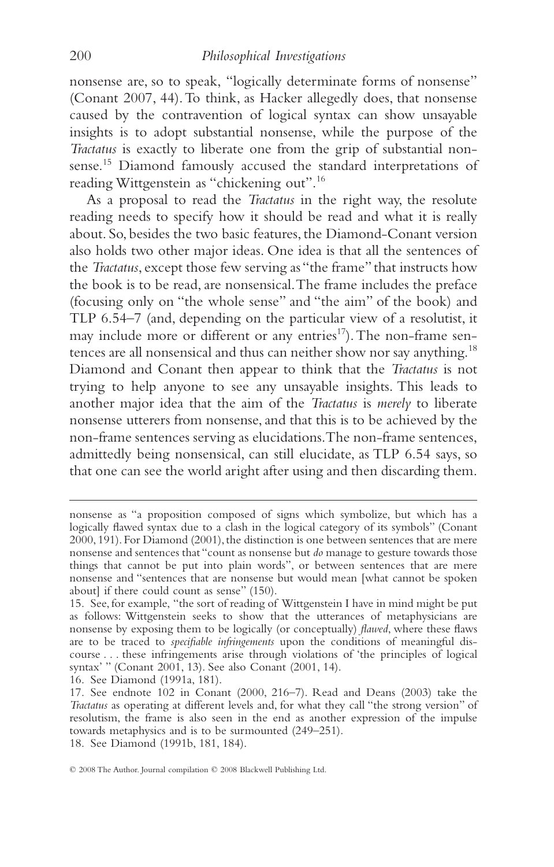nonsense are, so to speak, "logically determinate forms of nonsense" (Conant 2007, 44).To think, as Hacker allegedly does, that nonsense caused by the contravention of logical syntax can show unsayable insights is to adopt substantial nonsense, while the purpose of the *Tractatus* is exactly to liberate one from the grip of substantial nonsense.15 Diamond famously accused the standard interpretations of reading Wittgenstein as "chickening out".16

As a proposal to read the *Tractatus* in the right way, the resolute reading needs to specify how it should be read and what it is really about. So, besides the two basic features, the Diamond-Conant version also holds two other major ideas. One idea is that all the sentences of the *Tractatus*, except those few serving as "the frame" that instructs how the book is to be read, are nonsensical.The frame includes the preface (focusing only on "the whole sense" and "the aim" of the book) and TLP 6.54–7 (and, depending on the particular view of a resolutist, it may include more or different or any entries<sup>17</sup>). The non-frame sentences are all nonsensical and thus can neither show nor say anything.18 Diamond and Conant then appear to think that the *Tractatus* is not trying to help anyone to see any unsayable insights. This leads to another major idea that the aim of the *Tractatus* is *merely* to liberate nonsense utterers from nonsense, and that this is to be achieved by the non-frame sentences serving as elucidations.The non-frame sentences, admittedly being nonsensical, can still elucidate, as TLP 6.54 says, so that one can see the world aright after using and then discarding them.

nonsense as "a proposition composed of signs which symbolize, but which has a logically flawed syntax due to a clash in the logical category of its symbols" (Conant  $2000, 191$ ). For Diamond (2001), the distinction is one between sentences that are mere nonsense and sentences that"count as nonsense but *do* manage to gesture towards those things that cannot be put into plain words", or between sentences that are mere nonsense and "sentences that are nonsense but would mean [what cannot be spoken about] if there could count as sense" (150).

<sup>15.</sup> See, for example, "the sort of reading of Wittgenstein I have in mind might be put as follows: Wittgenstein seeks to show that the utterances of metaphysicians are nonsense by exposing them to be logically (or conceptually) *flawed*, where these flaws are to be traced to *specifiable infringements* upon the conditions of meaningful discourse... these infringements arise through violations of 'the principles of logical syntax' " (Conant 2001, 13). See also Conant (2001, 14).

<sup>16.</sup> See Diamond (1991a, 181).

<sup>17.</sup> See endnote 102 in Conant (2000, 216–7). Read and Deans (2003) take the *Tractatus* as operating at different levels and, for what they call "the strong version" of resolutism, the frame is also seen in the end as another expression of the impulse towards metaphysics and is to be surmounted (249–251). 18. See Diamond (1991b, 181, 184).

<sup>© 2008</sup> The Author. Journal compilation © 2008 Blackwell Publishing Ltd.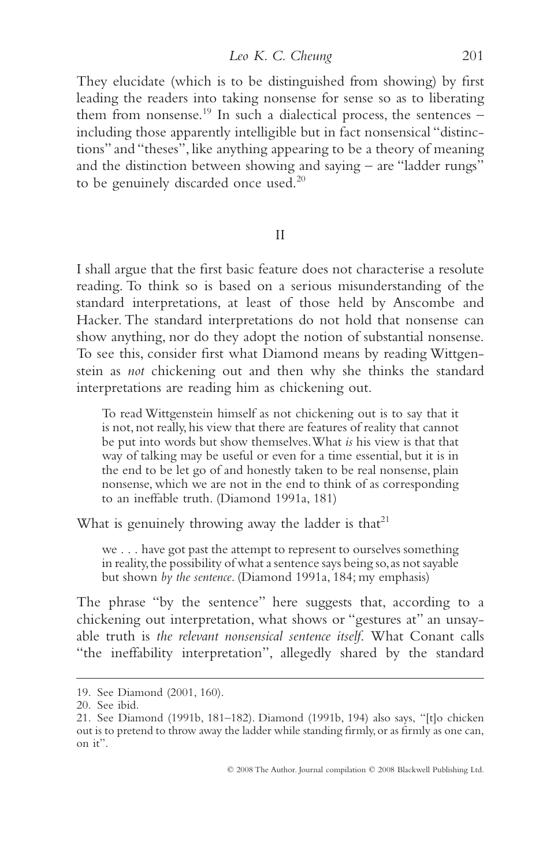*Leo K. C. Cheung* 201

They elucidate (which is to be distinguished from showing) by first leading the readers into taking nonsense for sense so as to liberating them from nonsense.<sup>19</sup> In such a dialectical process, the sentences – including those apparently intelligible but in fact nonsensical "distinctions" and "theses", like anything appearing to be a theory of meaning and the distinction between showing and saying – are "ladder rungs" to be genuinely discarded once used.<sup>20</sup>

#### II

I shall argue that the first basic feature does not characterise a resolute reading. To think so is based on a serious misunderstanding of the standard interpretations, at least of those held by Anscombe and Hacker. The standard interpretations do not hold that nonsense can show anything, nor do they adopt the notion of substantial nonsense. To see this, consider first what Diamond means by reading Wittgenstein as *not* chickening out and then why she thinks the standard interpretations are reading him as chickening out.

To read Wittgenstein himself as not chickening out is to say that it is not, not really, his view that there are features of reality that cannot be put into words but show themselves.What *is* his view is that that way of talking may be useful or even for a time essential, but it is in the end to be let go of and honestly taken to be real nonsense, plain nonsense, which we are not in the end to think of as corresponding to an ineffable truth. (Diamond 1991a, 181)

What is genuinely throwing away the ladder is that  $2<sup>1</sup>$ 

we . . . have got past the attempt to represent to ourselves something in reality, the possibility of what a sentence says being so, as not sayable but shown *by the sentence*. (Diamond 1991a, 184; my emphasis)

The phrase "by the sentence" here suggests that, according to a chickening out interpretation, what shows or "gestures at" an unsayable truth is *the relevant nonsensical sentence itself*. What Conant calls "the ineffability interpretation", allegedly shared by the standard

<sup>19.</sup> See Diamond (2001, 160).

<sup>20.</sup> See ibid.

<sup>21.</sup> See Diamond (1991b, 181–182). Diamond (1991b, 194) also says, "[t]o chicken out is to pretend to throw away the ladder while standing firmly, or as firmly as one can, on it".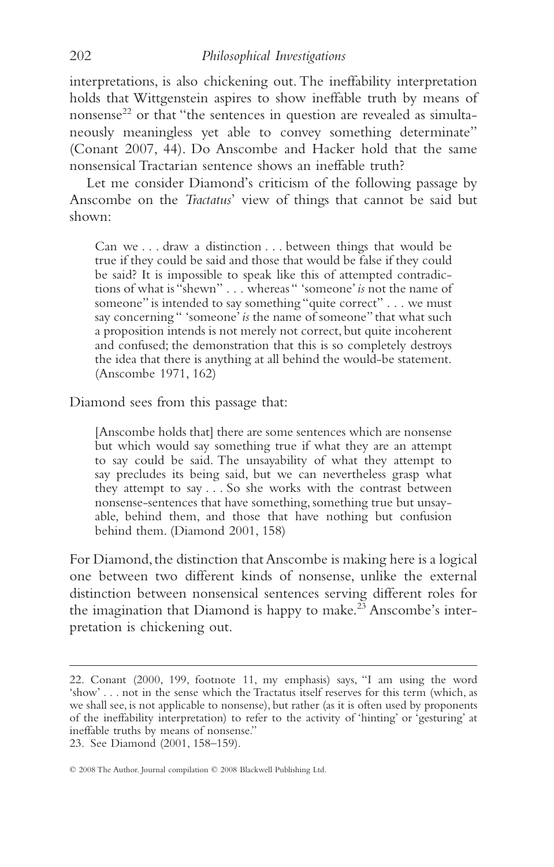interpretations, is also chickening out. The ineffability interpretation holds that Wittgenstein aspires to show ineffable truth by means of nonsense<sup>22</sup> or that "the sentences in question are revealed as simultaneously meaningless yet able to convey something determinate" (Conant 2007, 44). Do Anscombe and Hacker hold that the same nonsensical Tractarian sentence shows an ineffable truth?

Let me consider Diamond's criticism of the following passage by Anscombe on the *Tractatus*' view of things that cannot be said but shown:

Can we . . . draw a distinction... between things that would be true if they could be said and those that would be false if they could be said? It is impossible to speak like this of attempted contradictions of what is "shewn"... whereas " 'someone' *is* not the name of someone" is intended to say something "quite correct" . . . we must say concerning " 'someone' *is* the name of someone" that what such a proposition intends is not merely not correct, but quite incoherent and confused; the demonstration that this is so completely destroys the idea that there is anything at all behind the would-be statement. (Anscombe 1971, 162)

Diamond sees from this passage that:

[Anscombe holds that] there are some sentences which are nonsense but which would say something true if what they are an attempt to say could be said. The unsayability of what they attempt to say precludes its being said, but we can nevertheless grasp what they attempt to say . . . So she works with the contrast between nonsense-sentences that have something, something true but unsayable, behind them, and those that have nothing but confusion behind them. (Diamond 2001, 158)

For Diamond, the distinction that Anscombe is making here is a logical one between two different kinds of nonsense, unlike the external distinction between nonsensical sentences serving different roles for the imagination that Diamond is happy to make.<sup>23</sup> Anscombe's interpretation is chickening out.

<sup>22.</sup> Conant (2000, 199, footnote 11, my emphasis) says, "I am using the word 'show' . . . not in the sense which the Tractatus itself reserves for this term (which, as we shall see, is not applicable to nonsense), but rather (as it is often used by proponents of the ineffability interpretation) to refer to the activity of 'hinting' or 'gesturing' at ineffable truths by means of nonsense." 23. See Diamond (2001, 158–159).

<sup>© 2008</sup> The Author. Journal compilation © 2008 Blackwell Publishing Ltd.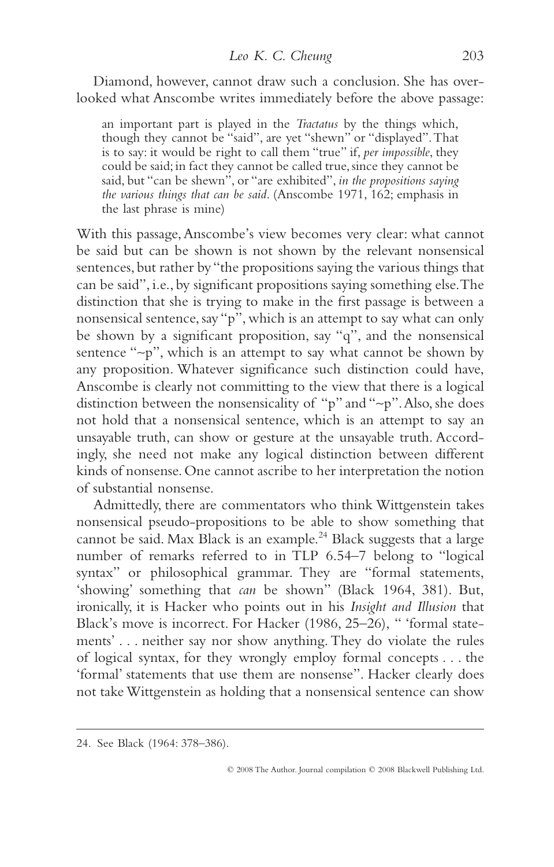Diamond, however, cannot draw such a conclusion. She has overlooked what Anscombe writes immediately before the above passage:

an important part is played in the *Tractatus* by the things which, though they cannot be "said", are yet "shewn" or "displayed".That is to say: it would be right to call them "true" if, *per impossible*, they could be said; in fact they cannot be called true, since they cannot be said, but "can be shewn", or "are exhibited", *in the propositions saying the various things that can be said*. (Anscombe 1971, 162; emphasis in the last phrase is mine)

With this passage,Anscombe's view becomes very clear: what cannot be said but can be shown is not shown by the relevant nonsensical sentences, but rather by "the propositions saying the various things that can be said", i.e., by significant propositions saying something else.The distinction that she is trying to make in the first passage is between a nonsensical sentence, say "p", which is an attempt to say what can only be shown by a significant proposition, say "q", and the nonsensical sentence "~p", which is an attempt to say what cannot be shown by any proposition. Whatever significance such distinction could have, Anscombe is clearly not committing to the view that there is a logical distinction between the nonsensicality of "p" and "~p".Also, she does not hold that a nonsensical sentence, which is an attempt to say an unsayable truth, can show or gesture at the unsayable truth. Accordingly, she need not make any logical distinction between different kinds of nonsense.One cannot ascribe to her interpretation the notion of substantial nonsense.

Admittedly, there are commentators who think Wittgenstein takes nonsensical pseudo-propositions to be able to show something that cannot be said. Max Black is an example.<sup>24</sup> Black suggests that a large number of remarks referred to in TLP 6.54–7 belong to "logical syntax" or philosophical grammar. They are "formal statements, 'showing' something that *can* be shown" (Black 1964, 381). But, ironically, it is Hacker who points out in his *Insight and Illusion* that Black's move is incorrect. For Hacker (1986, 25–26), " 'formal statements'... neither say nor show anything. They do violate the rules of logical syntax, for they wrongly employ formal concepts . . . the 'formal' statements that use them are nonsense". Hacker clearly does not take Wittgenstein as holding that a nonsensical sentence can show

<sup>24.</sup> See Black (1964: 378–386).

<sup>© 2008</sup> The Author. Journal compilation © 2008 Blackwell Publishing Ltd.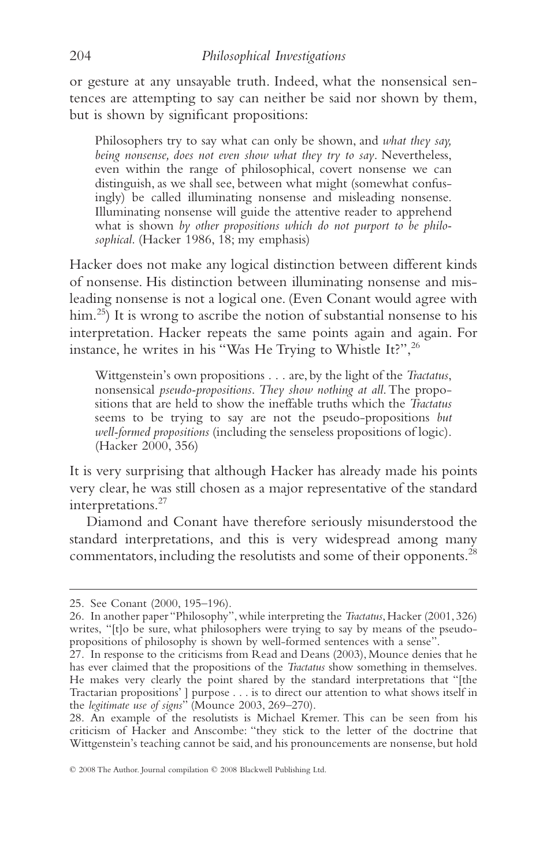or gesture at any unsayable truth. Indeed, what the nonsensical sentences are attempting to say can neither be said nor shown by them, but is shown by significant propositions:

Philosophers try to say what can only be shown, and *what they say, being nonsense, does not even show what they try to say*. Nevertheless, even within the range of philosophical, covert nonsense we can distinguish, as we shall see, between what might (somewhat confusingly) be called illuminating nonsense and misleading nonsense. Illuminating nonsense will guide the attentive reader to apprehend what is shown *by other propositions which do not purport to be philosophical*. (Hacker 1986, 18; my emphasis)

Hacker does not make any logical distinction between different kinds of nonsense. His distinction between illuminating nonsense and misleading nonsense is not a logical one. (Even Conant would agree with him.<sup>25</sup>) It is wrong to ascribe the notion of substantial nonsense to his interpretation. Hacker repeats the same points again and again. For instance, he writes in his "Was He Trying to Whistle It?",<sup>26</sup>

Wittgenstein's own propositions . . . are,by the light of the *Tractatus*, nonsensical *pseudo-propositions*. *They show nothing at all*.The propositions that are held to show the ineffable truths which the *Tractatus* seems to be trying to say are not the pseudo-propositions *but well-formed propositions* (including the senseless propositions of logic). (Hacker 2000, 356)

It is very surprising that although Hacker has already made his points very clear, he was still chosen as a major representative of the standard interpretations.<sup>27</sup>

Diamond and Conant have therefore seriously misunderstood the standard interpretations, and this is very widespread among many commentators, including the resolutists and some of their opponents.<sup>28</sup>

<sup>25.</sup> See Conant (2000, 195–196).

<sup>26.</sup> In another paper "Philosophy", while interpreting the *Tractatus*, Hacker (2001, 326) writes, "[t]o be sure, what philosophers were trying to say by means of the pseudopropositions of philosophy is shown by well-formed sentences with a sense".

<sup>27.</sup> In response to the criticisms from Read and Deans (2003), Mounce denies that he has ever claimed that the propositions of the *Tractatus* show something in themselves. He makes very clearly the point shared by the standard interpretations that "[the Tractarian propositions' ] purpose . . . is to direct our attention to what shows itself in the *legitimate use of signs*" (Mounce 2003, 269–270).

<sup>28.</sup> An example of the resolutists is Michael Kremer. This can be seen from his criticism of Hacker and Anscombe: "they stick to the letter of the doctrine that Wittgenstein's teaching cannot be said, and his pronouncements are nonsense, but hold

<sup>© 2008</sup> The Author. Journal compilation © 2008 Blackwell Publishing Ltd.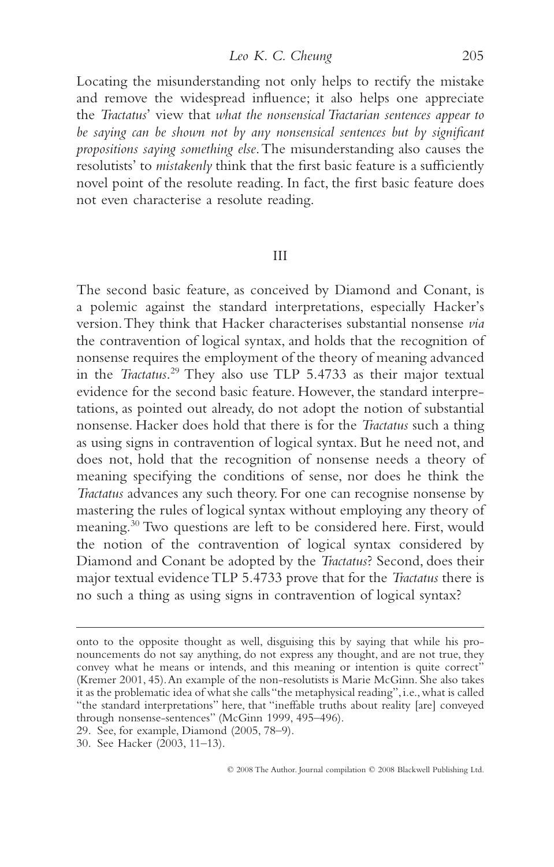Locating the misunderstanding not only helps to rectify the mistake and remove the widespread influence; it also helps one appreciate the *Tractatus*' view that *what the nonsensical Tractarian sentences appear to be saying can be shown not by any nonsensical sentences but by significant propositions saying something else*.The misunderstanding also causes the resolutists' to *mistakenly* think that the first basic feature is a sufficiently novel point of the resolute reading. In fact, the first basic feature does not even characterise a resolute reading.

#### III

The second basic feature, as conceived by Diamond and Conant, is a polemic against the standard interpretations, especially Hacker's version.They think that Hacker characterises substantial nonsense *via* the contravention of logical syntax, and holds that the recognition of nonsense requires the employment of the theory of meaning advanced in the *Tractatus*. <sup>29</sup> They also use TLP 5.4733 as their major textual evidence for the second basic feature. However, the standard interpretations, as pointed out already, do not adopt the notion of substantial nonsense. Hacker does hold that there is for the *Tractatus* such a thing as using signs in contravention of logical syntax. But he need not, and does not, hold that the recognition of nonsense needs a theory of meaning specifying the conditions of sense, nor does he think the *Tractatus* advances any such theory. For one can recognise nonsense by mastering the rules of logical syntax without employing any theory of meaning.30 Two questions are left to be considered here. First, would the notion of the contravention of logical syntax considered by Diamond and Conant be adopted by the *Tractatus*? Second, does their major textual evidence TLP 5.4733 prove that for the *Tractatus* there is no such a thing as using signs in contravention of logical syntax?

onto to the opposite thought as well, disguising this by saying that while his pronouncements do not say anything, do not express any thought, and are not true, they convey what he means or intends, and this meaning or intention is quite correct" (Kremer 2001, 45).An example of the non-resolutists is Marie McGinn. She also takes it as the problematic idea of what she calls "the metaphysical reading", i.e., what is called "the standard interpretations" here, that "ineffable truths about reality [are] conveyed through nonsense-sentences" (McGinn 1999, 495–496).

<sup>29.</sup> See, for example, Diamond (2005, 78–9).

<sup>30.</sup> See Hacker (2003, 11-13).

<sup>© 2008</sup> The Author. Journal compilation © 2008 Blackwell Publishing Ltd.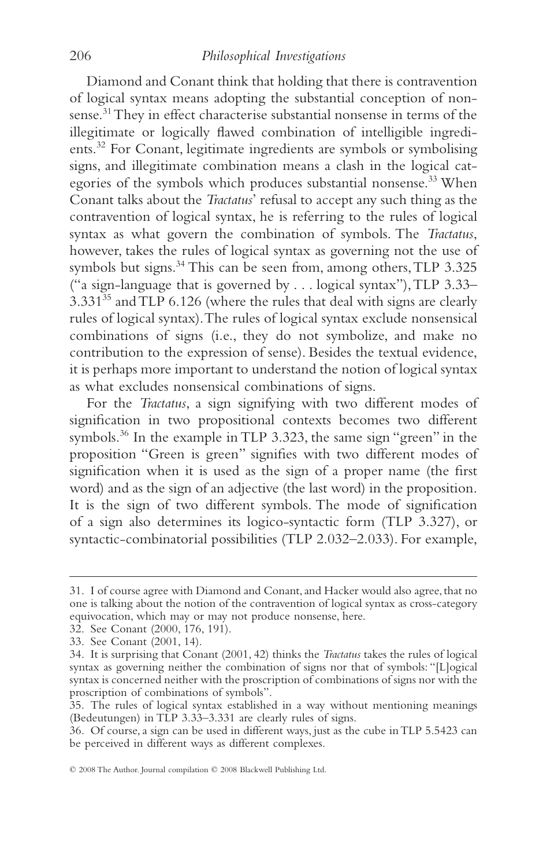Diamond and Conant think that holding that there is contravention of logical syntax means adopting the substantial conception of nonsense.31They in effect characterise substantial nonsense in terms of the illegitimate or logically flawed combination of intelligible ingredients.32 For Conant, legitimate ingredients are symbols or symbolising signs, and illegitimate combination means a clash in the logical categories of the symbols which produces substantial nonsense.<sup>33</sup> When Conant talks about the *Tractatus*' refusal to accept any such thing as the contravention of logical syntax, he is referring to the rules of logical syntax as what govern the combination of symbols. The *Tractatus*, however, takes the rules of logical syntax as governing not the use of symbols but signs. $34$  This can be seen from, among others, TLP 3.325  $\dddot{m}$  sign-language that is governed by ... logical syntax"). TLP 3.33–  $3.331^{35}$  and TLP 6.126 (where the rules that deal with signs are clearly rules of logical syntax).The rules of logical syntax exclude nonsensical combinations of signs (i.e., they do not symbolize, and make no contribution to the expression of sense). Besides the textual evidence, it is perhaps more important to understand the notion of logical syntax as what excludes nonsensical combinations of signs.

For the *Tractatus*, a sign signifying with two different modes of signification in two propositional contexts becomes two different symbols.<sup>36</sup> In the example in TLP 3.323, the same sign "green" in the proposition "Green is green" signifies with two different modes of signification when it is used as the sign of a proper name (the first word) and as the sign of an adjective (the last word) in the proposition. It is the sign of two different symbols. The mode of signification of a sign also determines its logico-syntactic form (TLP 3.327), or syntactic-combinatorial possibilities (TLP 2.032–2.033). For example,

<sup>31.</sup> I of course agree with Diamond and Conant, and Hacker would also agree, that no one is talking about the notion of the contravention of logical syntax as cross-category equivocation, which may or may not produce nonsense, here.

<sup>32.</sup> See Conant (2000, 176, 191).

<sup>33.</sup> See Conant (2001, 14).

<sup>34.</sup> It is surprising that Conant (2001, 42) thinks the *Tractatus* takes the rules of logical syntax as governing neither the combination of signs nor that of symbols: "[L]ogical syntax is concerned neither with the proscription of combinations of signs nor with the proscription of combinations of symbols".

<sup>35.</sup> The rules of logical syntax established in a way without mentioning meanings (Bedeutungen) in TLP 3.33–3.331 are clearly rules of signs.

<sup>36.</sup> Of course, a sign can be used in different ways, just as the cube in TLP 5.5423 can be perceived in different ways as different complexes.

<sup>© 2008</sup> The Author. Journal compilation © 2008 Blackwell Publishing Ltd.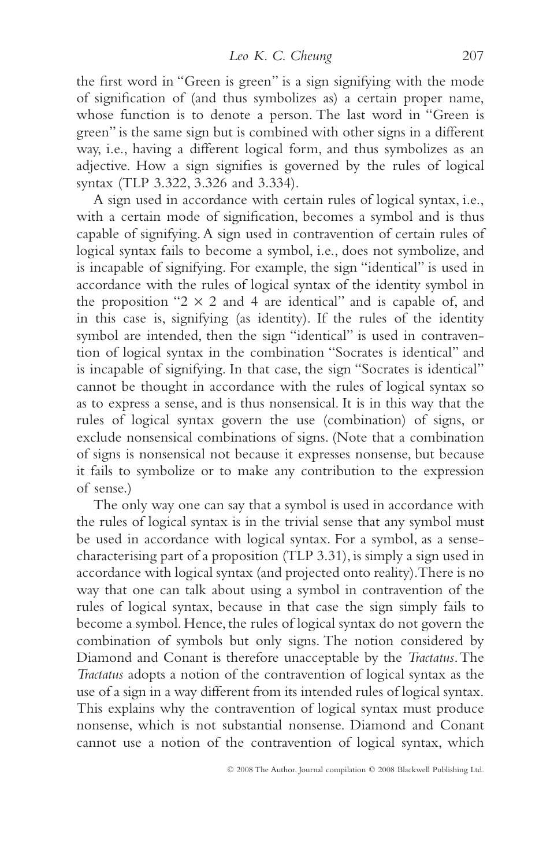the first word in "Green is green" is a sign signifying with the mode of signification of (and thus symbolizes as) a certain proper name, whose function is to denote a person. The last word in "Green is green" is the same sign but is combined with other signs in a different way, i.e., having a different logical form, and thus symbolizes as an adjective. How a sign signifies is governed by the rules of logical syntax (TLP 3.322, 3.326 and 3.334).

A sign used in accordance with certain rules of logical syntax, i.e., with a certain mode of signification, becomes a symbol and is thus capable of signifying. A sign used in contravention of certain rules of logical syntax fails to become a symbol, i.e., does not symbolize, and is incapable of signifying. For example, the sign "identical" is used in accordance with the rules of logical syntax of the identity symbol in the proposition "2  $\times$  2 and 4 are identical" and is capable of, and in this case is, signifying (as identity). If the rules of the identity symbol are intended, then the sign "identical" is used in contravention of logical syntax in the combination "Socrates is identical" and is incapable of signifying. In that case, the sign "Socrates is identical" cannot be thought in accordance with the rules of logical syntax so as to express a sense, and is thus nonsensical. It is in this way that the rules of logical syntax govern the use (combination) of signs, or exclude nonsensical combinations of signs. (Note that a combination of signs is nonsensical not because it expresses nonsense, but because it fails to symbolize or to make any contribution to the expression of sense.)

The only way one can say that a symbol is used in accordance with the rules of logical syntax is in the trivial sense that any symbol must be used in accordance with logical syntax. For a symbol, as a sensecharacterising part of a proposition (TLP 3.31), is simply a sign used in accordance with logical syntax (and projected onto reality).There is no way that one can talk about using a symbol in contravention of the rules of logical syntax, because in that case the sign simply fails to become a symbol. Hence, the rules of logical syntax do not govern the combination of symbols but only signs. The notion considered by Diamond and Conant is therefore unacceptable by the *Tractatus*.The *Tractatus* adopts a notion of the contravention of logical syntax as the use of a sign in a way different from its intended rules of logical syntax. This explains why the contravention of logical syntax must produce nonsense, which is not substantial nonsense. Diamond and Conant cannot use a notion of the contravention of logical syntax, which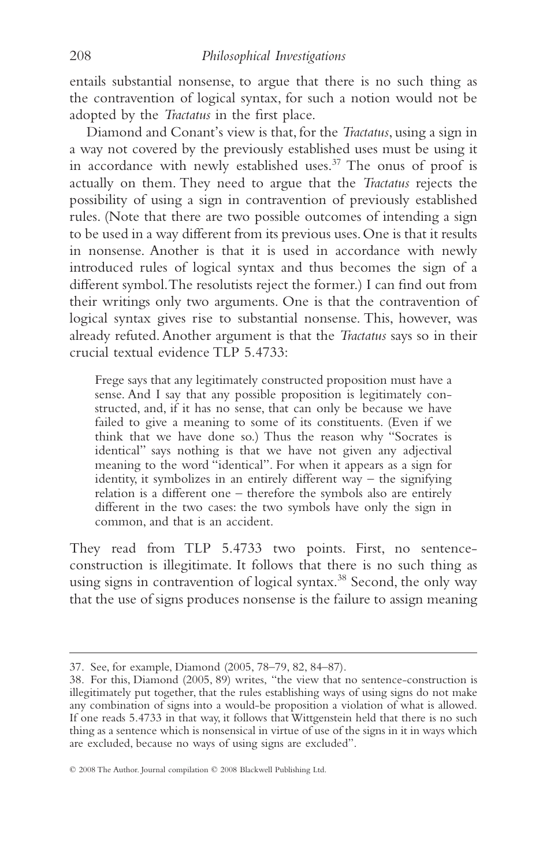entails substantial nonsense, to argue that there is no such thing as the contravention of logical syntax, for such a notion would not be adopted by the *Tractatus* in the first place.

Diamond and Conant's view is that, for the *Tractatus*, using a sign in a way not covered by the previously established uses must be using it in accordance with newly established uses.<sup>37</sup> The onus of proof is actually on them. They need to argue that the *Tractatus* rejects the possibility of using a sign in contravention of previously established rules. (Note that there are two possible outcomes of intending a sign to be used in a way different from its previous uses.One is that it results in nonsense. Another is that it is used in accordance with newly introduced rules of logical syntax and thus becomes the sign of a different symbol.The resolutists reject the former.) I can find out from their writings only two arguments. One is that the contravention of logical syntax gives rise to substantial nonsense. This, however, was already refuted.Another argument is that the *Tractatus* says so in their crucial textual evidence TLP 5.4733:

Frege says that any legitimately constructed proposition must have a sense. And I say that any possible proposition is legitimately constructed, and, if it has no sense, that can only be because we have failed to give a meaning to some of its constituents. (Even if we think that we have done so.) Thus the reason why "Socrates is identical" says nothing is that we have not given any adjectival meaning to the word "identical". For when it appears as a sign for identity, it symbolizes in an entirely different way – the signifying relation is a different one – therefore the symbols also are entirely different in the two cases: the two symbols have only the sign in common, and that is an accident.

They read from TLP 5.4733 two points. First, no sentenceconstruction is illegitimate. It follows that there is no such thing as using signs in contravention of logical syntax.<sup>38</sup> Second, the only way that the use of signs produces nonsense is the failure to assign meaning

<sup>37.</sup> See, for example, Diamond (2005, 78–79, 82, 84–87).

<sup>38.</sup> For this, Diamond (2005, 89) writes, "the view that no sentence-construction is illegitimately put together, that the rules establishing ways of using signs do not make any combination of signs into a would-be proposition a violation of what is allowed. If one reads 5.4733 in that way, it follows that Wittgenstein held that there is no such thing as a sentence which is nonsensical in virtue of use of the signs in it in ways which are excluded, because no ways of using signs are excluded".

<sup>© 2008</sup> The Author. Journal compilation © 2008 Blackwell Publishing Ltd.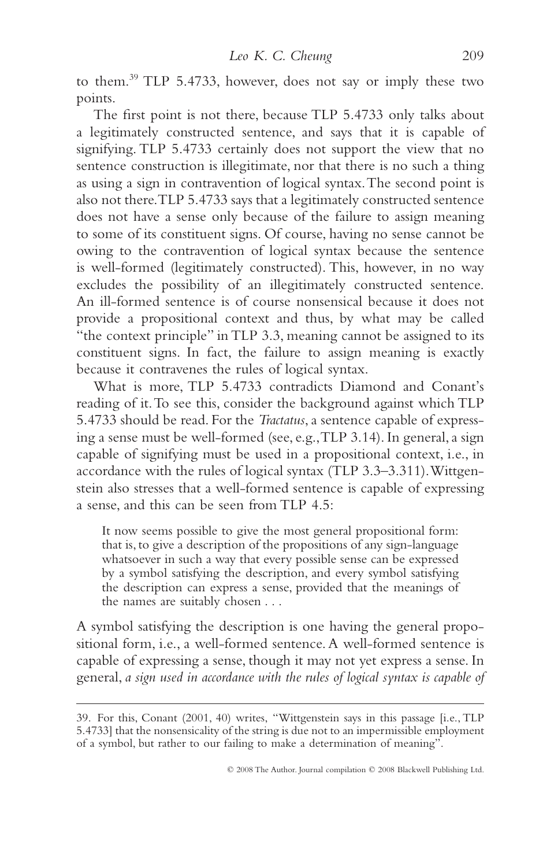to them.39 TLP 5.4733, however, does not say or imply these two points.

The first point is not there, because TLP 5.4733 only talks about a legitimately constructed sentence, and says that it is capable of signifying. TLP 5.4733 certainly does not support the view that no sentence construction is illegitimate, nor that there is no such a thing as using a sign in contravention of logical syntax.The second point is also not there.TLP 5.4733 says that a legitimately constructed sentence does not have a sense only because of the failure to assign meaning to some of its constituent signs. Of course, having no sense cannot be owing to the contravention of logical syntax because the sentence is well-formed (legitimately constructed). This, however, in no way excludes the possibility of an illegitimately constructed sentence. An ill-formed sentence is of course nonsensical because it does not provide a propositional context and thus, by what may be called "the context principle" in TLP 3.3, meaning cannot be assigned to its constituent signs. In fact, the failure to assign meaning is exactly because it contravenes the rules of logical syntax.

What is more, TLP 5.4733 contradicts Diamond and Conant's reading of it.To see this, consider the background against which TLP 5.4733 should be read. For the *Tractatus*, a sentence capable of expressing a sense must be well-formed (see, e.g.,TLP 3.14). In general, a sign capable of signifying must be used in a propositional context, i.e., in accordance with the rules of logical syntax (TLP 3.3–3.311).Wittgenstein also stresses that a well-formed sentence is capable of expressing a sense, and this can be seen from TLP 4.5:

It now seems possible to give the most general propositional form: that is, to give a description of the propositions of any sign-language whatsoever in such a way that every possible sense can be expressed by a symbol satisfying the description, and every symbol satisfying the description can express a sense, provided that the meanings of the names are suitably chosen...

A symbol satisfying the description is one having the general propositional form, i.e., a well-formed sentence. A well-formed sentence is capable of expressing a sense, though it may not yet express a sense. In general, *a sign used in accordance with the rules of logical syntax is capable of*

<sup>39.</sup> For this, Conant (2001, 40) writes, "Wittgenstein says in this passage [i.e., TLP 5.4733] that the nonsensicality of the string is due not to an impermissible employment of a symbol, but rather to our failing to make a determination of meaning".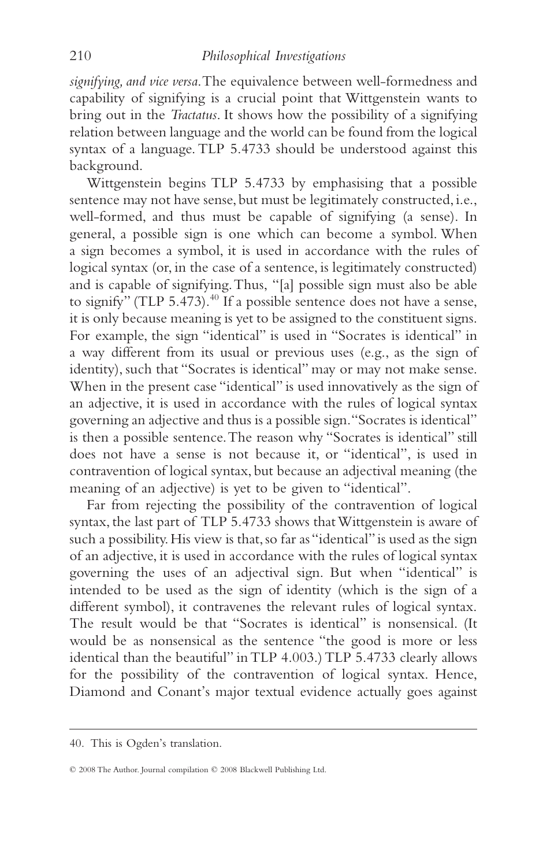*signifying, and vice versa*.The equivalence between well-formedness and capability of signifying is a crucial point that Wittgenstein wants to bring out in the *Tractatus*. It shows how the possibility of a signifying relation between language and the world can be found from the logical syntax of a language. TLP 5.4733 should be understood against this background.

Wittgenstein begins TLP 5.4733 by emphasising that a possible sentence may not have sense, but must be legitimately constructed, i.e., well-formed, and thus must be capable of signifying (a sense). In general, a possible sign is one which can become a symbol. When a sign becomes a symbol, it is used in accordance with the rules of logical syntax (or, in the case of a sentence, is legitimately constructed) and is capable of signifying.Thus, "[a] possible sign must also be able to signify" (TLP 5.473).<sup>40</sup> If a possible sentence does not have a sense, it is only because meaning is yet to be assigned to the constituent signs. For example, the sign "identical" is used in "Socrates is identical" in a way different from its usual or previous uses (e.g., as the sign of identity), such that "Socrates is identical" may or may not make sense. When in the present case "identical" is used innovatively as the sign of an adjective, it is used in accordance with the rules of logical syntax governing an adjective and thus is a possible sign."Socrates is identical" is then a possible sentence.The reason why "Socrates is identical" still does not have a sense is not because it, or "identical", is used in contravention of logical syntax, but because an adjectival meaning (the meaning of an adjective) is yet to be given to "identical".

Far from rejecting the possibility of the contravention of logical syntax, the last part of TLP 5.4733 shows that Wittgenstein is aware of such a possibility. His view is that, so far as "identical" is used as the sign of an adjective, it is used in accordance with the rules of logical syntax governing the uses of an adjectival sign. But when "identical" is intended to be used as the sign of identity (which is the sign of a different symbol), it contravenes the relevant rules of logical syntax. The result would be that "Socrates is identical" is nonsensical. (It would be as nonsensical as the sentence "the good is more or less identical than the beautiful" in TLP 4.003.) TLP 5.4733 clearly allows for the possibility of the contravention of logical syntax. Hence, Diamond and Conant's major textual evidence actually goes against

<sup>40.</sup> This is Ogden's translation.

<sup>© 2008</sup> The Author. Journal compilation © 2008 Blackwell Publishing Ltd.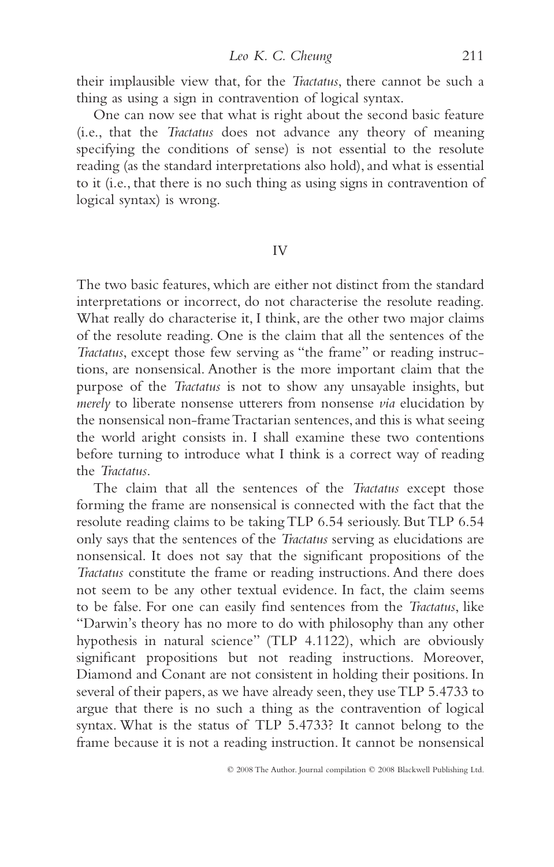their implausible view that, for the *Tractatus*, there cannot be such a thing as using a sign in contravention of logical syntax.

One can now see that what is right about the second basic feature (i.e., that the *Tractatus* does not advance any theory of meaning specifying the conditions of sense) is not essential to the resolute reading (as the standard interpretations also hold), and what is essential to it (i.e., that there is no such thing as using signs in contravention of logical syntax) is wrong.

## IV

The two basic features, which are either not distinct from the standard interpretations or incorrect, do not characterise the resolute reading. What really do characterise it, I think, are the other two major claims of the resolute reading. One is the claim that all the sentences of the *Tractatus*, except those few serving as "the frame" or reading instructions, are nonsensical. Another is the more important claim that the purpose of the *Tractatus* is not to show any unsayable insights, but *merely* to liberate nonsense utterers from nonsense *via* elucidation by the nonsensical non-frameTractarian sentences, and this is what seeing the world aright consists in. I shall examine these two contentions before turning to introduce what I think is a correct way of reading the *Tractatus*.

The claim that all the sentences of the *Tractatus* except those forming the frame are nonsensical is connected with the fact that the resolute reading claims to be taking TLP 6.54 seriously. But TLP 6.54 only says that the sentences of the *Tractatus* serving as elucidations are nonsensical. It does not say that the significant propositions of the *Tractatus* constitute the frame or reading instructions. And there does not seem to be any other textual evidence. In fact, the claim seems to be false. For one can easily find sentences from the *Tractatus*, like "Darwin's theory has no more to do with philosophy than any other hypothesis in natural science" (TLP 4.1122), which are obviously significant propositions but not reading instructions. Moreover, Diamond and Conant are not consistent in holding their positions. In several of their papers, as we have already seen, they use TLP 5.4733 to argue that there is no such a thing as the contravention of logical syntax. What is the status of TLP 5.4733? It cannot belong to the frame because it is not a reading instruction. It cannot be nonsensical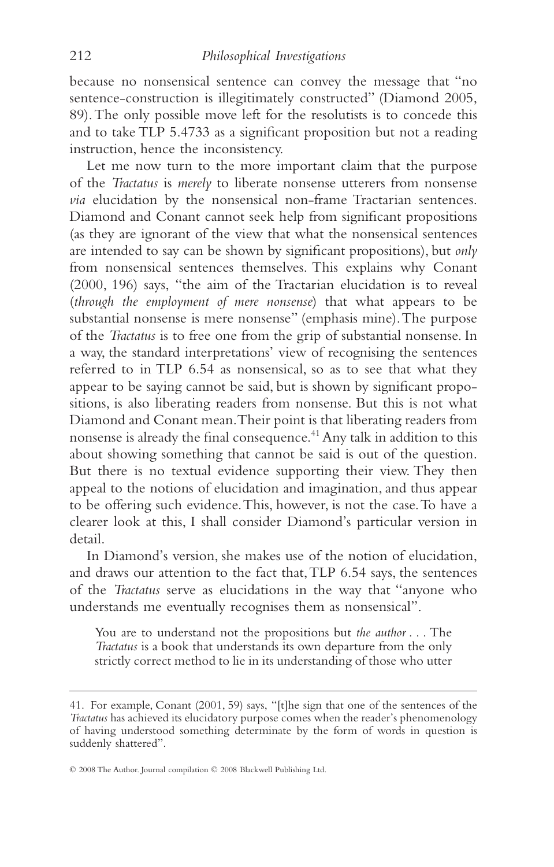because no nonsensical sentence can convey the message that "no sentence-construction is illegitimately constructed" (Diamond 2005, 89).The only possible move left for the resolutists is to concede this and to take TLP 5.4733 as a significant proposition but not a reading instruction, hence the inconsistency.

Let me now turn to the more important claim that the purpose of the *Tractatus* is *merely* to liberate nonsense utterers from nonsense *via* elucidation by the nonsensical non-frame Tractarian sentences. Diamond and Conant cannot seek help from significant propositions (as they are ignorant of the view that what the nonsensical sentences are intended to say can be shown by significant propositions), but *only* from nonsensical sentences themselves. This explains why Conant (2000, 196) says, "the aim of the Tractarian elucidation is to reveal (*through the employment of mere nonsense*) that what appears to be substantial nonsense is mere nonsense" (emphasis mine).The purpose of the *Tractatus* is to free one from the grip of substantial nonsense. In a way, the standard interpretations' view of recognising the sentences referred to in TLP 6.54 as nonsensical, so as to see that what they appear to be saying cannot be said, but is shown by significant propositions, is also liberating readers from nonsense. But this is not what Diamond and Conant mean.Their point is that liberating readers from nonsense is already the final consequence.<sup>41</sup> Any talk in addition to this about showing something that cannot be said is out of the question. But there is no textual evidence supporting their view. They then appeal to the notions of elucidation and imagination, and thus appear to be offering such evidence.This, however, is not the case.To have a clearer look at this, I shall consider Diamond's particular version in detail.

In Diamond's version, she makes use of the notion of elucidation, and draws our attention to the fact that,TLP 6.54 says, the sentences of the *Tractatus* serve as elucidations in the way that "anyone who understands me eventually recognises them as nonsensical".

You are to understand not the propositions but *the author* . . . The *Tractatus* is a book that understands its own departure from the only strictly correct method to lie in its understanding of those who utter

<sup>41.</sup> For example, Conant (2001, 59) says, "[t]he sign that one of the sentences of the *Tractatus* has achieved its elucidatory purpose comes when the reader's phenomenology of having understood something determinate by the form of words in question is suddenly shattered".

<sup>© 2008</sup> The Author. Journal compilation © 2008 Blackwell Publishing Ltd.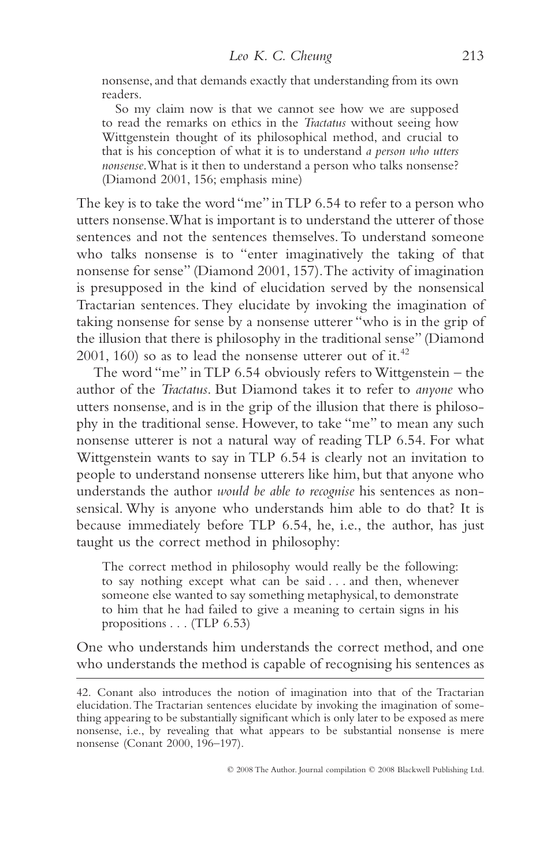nonsense, and that demands exactly that understanding from its own readers.

So my claim now is that we cannot see how we are supposed to read the remarks on ethics in the *Tractatus* without seeing how Wittgenstein thought of its philosophical method, and crucial to that is his conception of what it is to understand *a person who utters nonsense*.What is it then to understand a person who talks nonsense? (Diamond 2001, 156; emphasis mine)

The key is to take the word "me" inTLP 6.54 to refer to a person who utters nonsense.What is important is to understand the utterer of those sentences and not the sentences themselves. To understand someone who talks nonsense is to "enter imaginatively the taking of that nonsense for sense" (Diamond 2001, 157).The activity of imagination is presupposed in the kind of elucidation served by the nonsensical Tractarian sentences. They elucidate by invoking the imagination of taking nonsense for sense by a nonsense utterer "who is in the grip of the illusion that there is philosophy in the traditional sense" (Diamond 2001, 160) so as to lead the nonsense utterer out of it.<sup>42</sup>

The word "me" in TLP 6.54 obviously refers to Wittgenstein – the author of the *Tractatus*. But Diamond takes it to refer to *anyone* who utters nonsense, and is in the grip of the illusion that there is philosophy in the traditional sense. However, to take "me" to mean any such nonsense utterer is not a natural way of reading TLP 6.54. For what Wittgenstein wants to say in TLP 6.54 is clearly not an invitation to people to understand nonsense utterers like him, but that anyone who understands the author *would be able to recognise* his sentences as nonsensical. Why is anyone who understands him able to do that? It is because immediately before TLP 6.54, he, i.e., the author, has just taught us the correct method in philosophy:

The correct method in philosophy would really be the following: to say nothing except what can be said . . . and then, whenever someone else wanted to say something metaphysical, to demonstrate to him that he had failed to give a meaning to certain signs in his propositions... (TLP 6.53)

One who understands him understands the correct method, and one who understands the method is capable of recognising his sentences as

<sup>42.</sup> Conant also introduces the notion of imagination into that of the Tractarian elucidation.The Tractarian sentences elucidate by invoking the imagination of something appearing to be substantially significant which is only later to be exposed as mere nonsense, i.e., by revealing that what appears to be substantial nonsense is mere nonsense (Conant 2000, 196–197).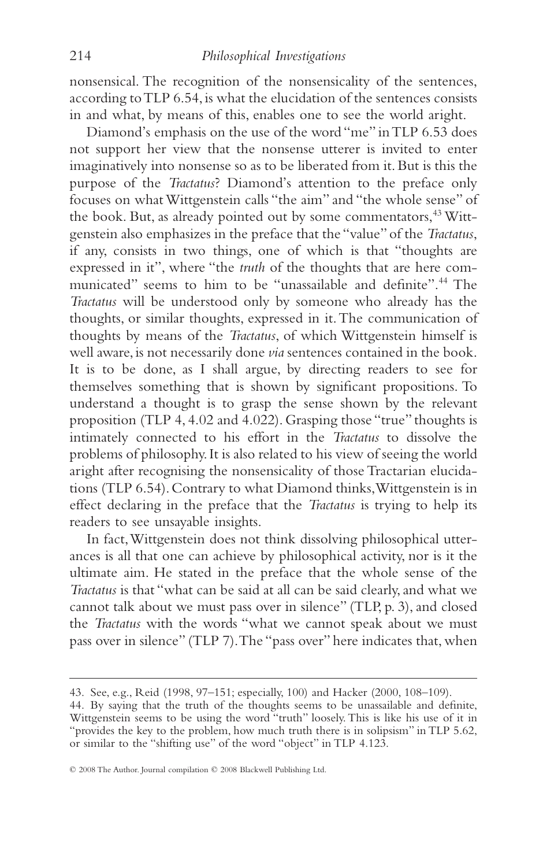nonsensical. The recognition of the nonsensicality of the sentences, according to TLP 6.54, is what the elucidation of the sentences consists in and what, by means of this, enables one to see the world aright.

Diamond's emphasis on the use of the word "me" inTLP 6.53 does not support her view that the nonsense utterer is invited to enter imaginatively into nonsense so as to be liberated from it. But is this the purpose of the *Tractatus*? Diamond's attention to the preface only focuses on what Wittgenstein calls "the aim" and "the whole sense" of the book. But, as already pointed out by some commentators,  $43$  Wittgenstein also emphasizes in the preface that the"value"of the *Tractatus*, if any, consists in two things, one of which is that "thoughts are expressed in it", where "the *truth* of the thoughts that are here communicated" seems to him to be "unassailable and definite".<sup>44</sup> The *Tractatus* will be understood only by someone who already has the thoughts, or similar thoughts, expressed in it.The communication of thoughts by means of the *Tractatus*, of which Wittgenstein himself is well aware, is not necessarily done *via* sentences contained in the book. It is to be done, as I shall argue, by directing readers to see for themselves something that is shown by significant propositions. To understand a thought is to grasp the sense shown by the relevant proposition (TLP 4, 4.02 and 4.022). Grasping those "true" thoughts is intimately connected to his effort in the *Tractatus* to dissolve the problems of philosophy.It is also related to his view of seeing the world aright after recognising the nonsensicality of those Tractarian elucidations (TLP 6.54). Contrary to what Diamond thinks, Wittgenstein is in effect declaring in the preface that the *Tractatus* is trying to help its readers to see unsayable insights.

In fact,Wittgenstein does not think dissolving philosophical utterances is all that one can achieve by philosophical activity, nor is it the ultimate aim. He stated in the preface that the whole sense of the *Tractatus* is that "what can be said at all can be said clearly, and what we cannot talk about we must pass over in silence" (TLP, p. 3), and closed the *Tractatus* with the words "what we cannot speak about we must pass over in silence" (TLP 7).The "pass over" here indicates that, when

<sup>43.</sup> See, e.g., Reid (1998, 97–151; especially, 100) and Hacker (2000, 108–109).

<sup>44.</sup> By saying that the truth of the thoughts seems to be unassailable and definite, Wittgenstein seems to be using the word "truth" loosely. This is like his use of it in "provides the key to the problem, how much truth there is in solipsism" in TLP 5.62, or similar to the "shifting use" of the word "object" in TLP 4.123.

<sup>© 2008</sup> The Author. Journal compilation © 2008 Blackwell Publishing Ltd.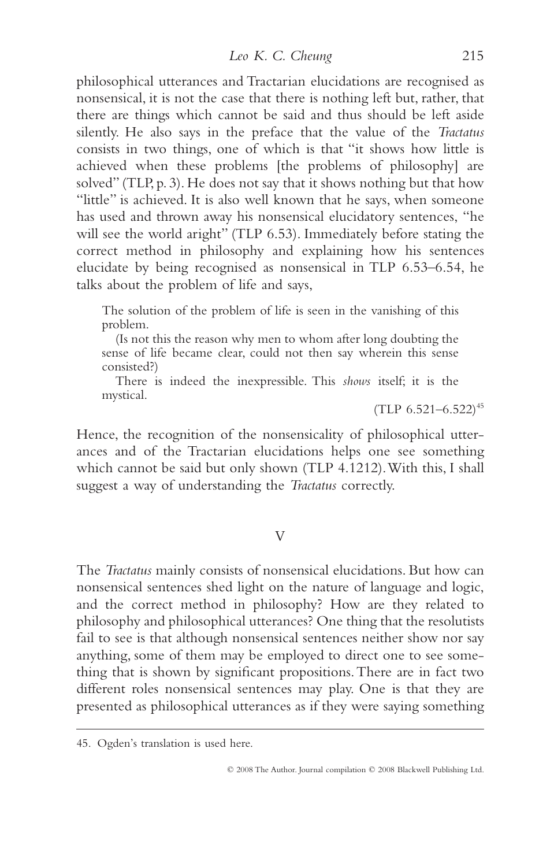philosophical utterances and Tractarian elucidations are recognised as nonsensical, it is not the case that there is nothing left but, rather, that there are things which cannot be said and thus should be left aside silently. He also says in the preface that the value of the *Tractatus* consists in two things, one of which is that "it shows how little is achieved when these problems [the problems of philosophy] are solved" (TLP, p. 3). He does not say that it shows nothing but that how "little" is achieved. It is also well known that he says, when someone has used and thrown away his nonsensical elucidatory sentences, "he will see the world aright" (TLP 6.53). Immediately before stating the correct method in philosophy and explaining how his sentences elucidate by being recognised as nonsensical in TLP 6.53–6.54, he talks about the problem of life and says,

The solution of the problem of life is seen in the vanishing of this problem.

(Is not this the reason why men to whom after long doubting the sense of life became clear, could not then say wherein this sense consisted?)

There is indeed the inexpressible. This *shows* itself; it is the mystical.

 $(TLP 6.521 - 6.522)^{45}$ 

Hence, the recognition of the nonsensicality of philosophical utterances and of the Tractarian elucidations helps one see something which cannot be said but only shown (TLP 4.1212).With this, I shall suggest a way of understanding the *Tractatus* correctly.

V

The *Tractatus* mainly consists of nonsensical elucidations. But how can nonsensical sentences shed light on the nature of language and logic, and the correct method in philosophy? How are they related to philosophy and philosophical utterances? One thing that the resolutists fail to see is that although nonsensical sentences neither show nor say anything, some of them may be employed to direct one to see something that is shown by significant propositions.There are in fact two different roles nonsensical sentences may play. One is that they are presented as philosophical utterances as if they were saying something

<sup>45.</sup> Ogden's translation is used here.

<sup>© 2008</sup> The Author. Journal compilation © 2008 Blackwell Publishing Ltd.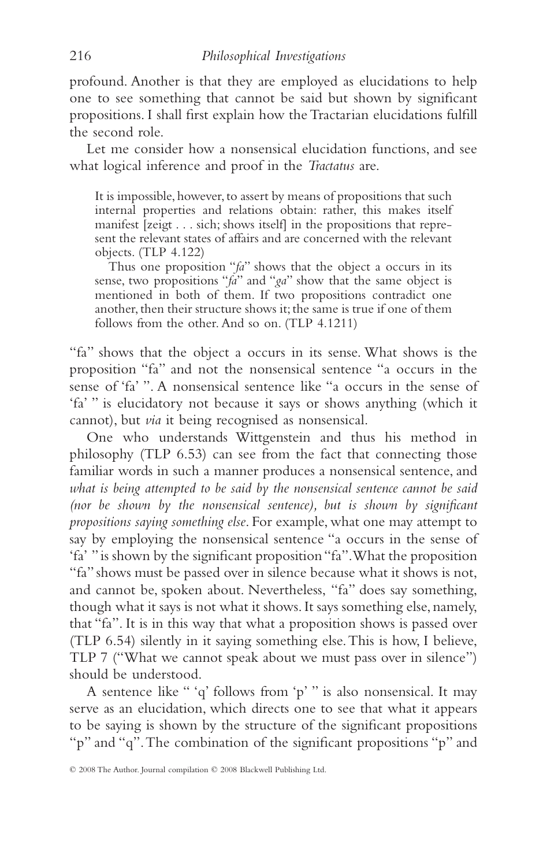profound. Another is that they are employed as elucidations to help one to see something that cannot be said but shown by significant propositions. I shall first explain how the Tractarian elucidations fulfill the second role.

Let me consider how a nonsensical elucidation functions, and see what logical inference and proof in the *Tractatus* are.

It is impossible, however, to assert by means of propositions that such internal properties and relations obtain: rather, this makes itself manifest [zeigt... sich; shows itself] in the propositions that represent the relevant states of affairs and are concerned with the relevant objects. (TLP 4.122)

Thus one proposition "*fa*" shows that the object a occurs in its sense, two propositions "*fa*" and "*ga*" show that the same object is mentioned in both of them. If two propositions contradict one another, then their structure shows it; the same is true if one of them follows from the other. And so on. (TLP 4.1211)

"fa" shows that the object a occurs in its sense. What shows is the proposition "fa" and not the nonsensical sentence "a occurs in the sense of 'fa' ". A nonsensical sentence like "a occurs in the sense of 'fa' " is elucidatory not because it says or shows anything (which it cannot), but *via* it being recognised as nonsensical.

One who understands Wittgenstein and thus his method in philosophy (TLP 6.53) can see from the fact that connecting those familiar words in such a manner produces a nonsensical sentence, and *what is being attempted to be said by the nonsensical sentence cannot be said (nor be shown by the nonsensical sentence), but is shown by significant propositions saying something else*. For example, what one may attempt to say by employing the nonsensical sentence "a occurs in the sense of 'fa' "is shown by the significant proposition"fa".What the proposition "fa" shows must be passed over in silence because what it shows is not, and cannot be, spoken about. Nevertheless, "fa" does say something, though what it says is not what it shows. It says something else, namely, that "fa". It is in this way that what a proposition shows is passed over (TLP 6.54) silently in it saying something else.This is how, I believe, TLP 7 ("What we cannot speak about we must pass over in silence") should be understood.

A sentence like " 'q' follows from 'p' " is also nonsensical. It may serve as an elucidation, which directs one to see that what it appears to be saying is shown by the structure of the significant propositions "p" and "q".The combination of the significant propositions "p" and

<sup>© 2008</sup> The Author. Journal compilation © 2008 Blackwell Publishing Ltd.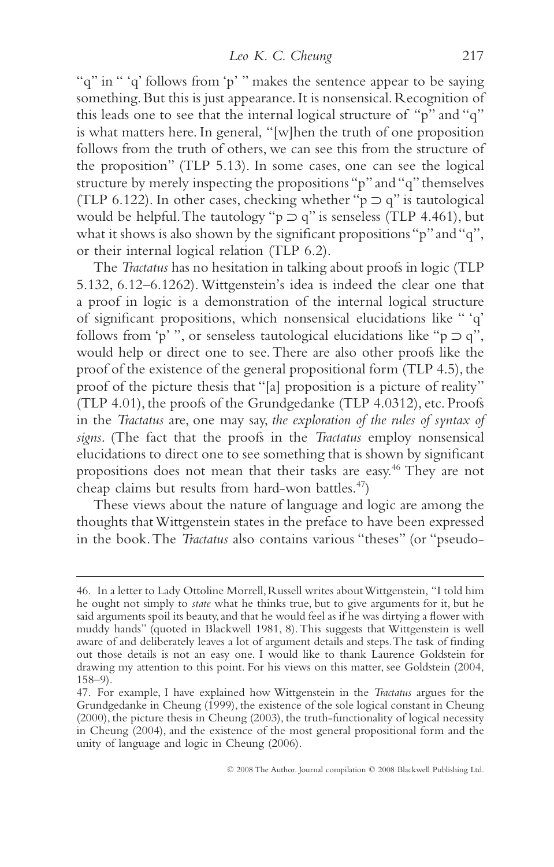"q" in " 'q' follows from 'p' " makes the sentence appear to be saying something. But this is just appearance. It is nonsensical. Recognition of this leads one to see that the internal logical structure of "p" and "q" is what matters here. In general, "[w]hen the truth of one proposition follows from the truth of others, we can see this from the structure of the proposition" (TLP 5.13). In some cases, one can see the logical structure by merely inspecting the propositions "p" and "q" themselves (TLP 6.122). In other cases, checking whether "p ⊃ q" is tautological would be helpful. The tautology " $p \supset q$ " is senseless (TLP 4.461), but what it shows is also shown by the significant propositions "p" and "q", or their internal logical relation (TLP 6.2).

The *Tractatus* has no hesitation in talking about proofs in logic (TLP 5.132, 6.12–6.1262). Wittgenstein's idea is indeed the clear one that a proof in logic is a demonstration of the internal logical structure of significant propositions, which nonsensical elucidations like " 'q' follows from 'p' ", or senseless tautological elucidations like " $p \supset q$ ", would help or direct one to see.There are also other proofs like the proof of the existence of the general propositional form (TLP 4.5), the proof of the picture thesis that "[a] proposition is a picture of reality" (TLP 4.01), the proofs of the Grundgedanke (TLP 4.0312), etc. Proofs in the *Tractatus* are, one may say, *the exploration of the rules of syntax of signs*. (The fact that the proofs in the *Tractatus* employ nonsensical elucidations to direct one to see something that is shown by significant propositions does not mean that their tasks are easy.<sup>46</sup> They are not cheap claims but results from hard-won battles. $47$ )

These views about the nature of language and logic are among the thoughts thatWittgenstein states in the preface to have been expressed in the book.The *Tractatus* also contains various "theses" (or "pseudo-

<sup>46.</sup> In a letter to Lady Ottoline Morrell,Russell writes aboutWittgenstein, "I told him he ought not simply to *state* what he thinks true, but to give arguments for it, but he said arguments spoil its beauty, and that he would feel as if he was dirtying a flower with muddy hands" (quoted in Blackwell 1981, 8). This suggests that Wittgenstein is well aware of and deliberately leaves a lot of argument details and steps.The task of finding out those details is not an easy one. I would like to thank Laurence Goldstein for drawing my attention to this point. For his views on this matter, see Goldstein (2004, 158–9).

<sup>47.</sup> For example, I have explained how Wittgenstein in the *Tractatus* argues for the Grundgedanke in Cheung (1999), the existence of the sole logical constant in Cheung (2000), the picture thesis in Cheung (2003), the truth-functionality of logical necessity in Cheung (2004), and the existence of the most general propositional form and the unity of language and logic in Cheung (2006).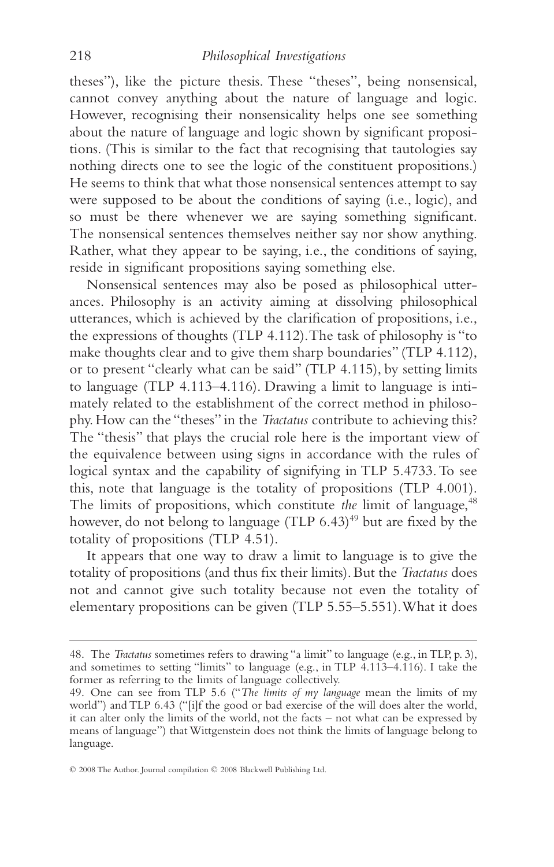theses"), like the picture thesis. These "theses", being nonsensical, cannot convey anything about the nature of language and logic. However, recognising their nonsensicality helps one see something about the nature of language and logic shown by significant propositions. (This is similar to the fact that recognising that tautologies say nothing directs one to see the logic of the constituent propositions.) He seems to think that what those nonsensical sentences attempt to say were supposed to be about the conditions of saying (i.e., logic), and so must be there whenever we are saying something significant. The nonsensical sentences themselves neither say nor show anything. Rather, what they appear to be saying, i.e., the conditions of saying, reside in significant propositions saying something else.

Nonsensical sentences may also be posed as philosophical utterances. Philosophy is an activity aiming at dissolving philosophical utterances, which is achieved by the clarification of propositions, i.e., the expressions of thoughts (TLP 4.112).The task of philosophy is "to make thoughts clear and to give them sharp boundaries" (TLP 4.112), or to present "clearly what can be said" (TLP 4.115), by setting limits to language (TLP 4.113–4.116). Drawing a limit to language is intimately related to the establishment of the correct method in philosophy. How can the "theses" in the *Tractatus* contribute to achieving this? The "thesis" that plays the crucial role here is the important view of the equivalence between using signs in accordance with the rules of logical syntax and the capability of signifying in TLP 5.4733. To see this, note that language is the totality of propositions (TLP 4.001). The limits of propositions, which constitute *the* limit of language,<sup>48</sup> however, do not belong to language  $(TLP 6.43)^{49}$  but are fixed by the totality of propositions (TLP 4.51).

It appears that one way to draw a limit to language is to give the totality of propositions (and thus fix their limits). But the *Tractatus* does not and cannot give such totality because not even the totality of elementary propositions can be given (TLP 5.55–5.551).What it does

<sup>48.</sup> The *Tractatus* sometimes refers to drawing "a limit" to language (e.g., in TLP, p. 3), and sometimes to setting "limits" to language (e.g., in TLP 4.113–4.116). I take the former as referring to the limits of language collectively.

<sup>49.</sup> One can see from TLP 5.6 ("*The limits of my language* mean the limits of my world") and TLP 6.43 ("[i]f the good or bad exercise of the will does alter the world, it can alter only the limits of the world, not the facts – not what can be expressed by means of language") that Wittgenstein does not think the limits of language belong to language.

<sup>© 2008</sup> The Author. Journal compilation © 2008 Blackwell Publishing Ltd.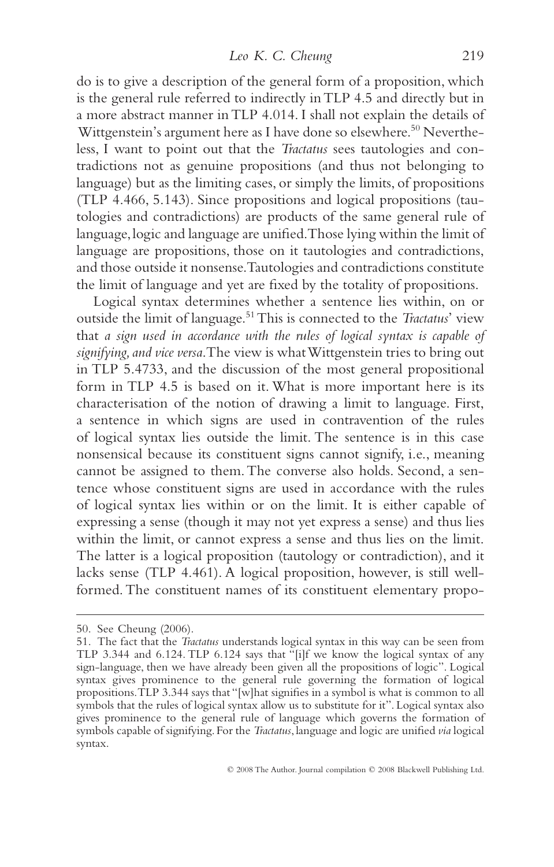do is to give a description of the general form of a proposition, which is the general rule referred to indirectly in TLP 4.5 and directly but in a more abstract manner in TLP 4.014. I shall not explain the details of Wittgenstein's argument here as I have done so elsewhere.<sup>50</sup> Nevertheless, I want to point out that the *Tractatus* sees tautologies and contradictions not as genuine propositions (and thus not belonging to language) but as the limiting cases, or simply the limits, of propositions (TLP 4.466, 5.143). Since propositions and logical propositions (tautologies and contradictions) are products of the same general rule of language,logic and language are unified.Those lying within the limit of language are propositions, those on it tautologies and contradictions, and those outside it nonsense.Tautologies and contradictions constitute the limit of language and yet are fixed by the totality of propositions.

Logical syntax determines whether a sentence lies within, on or outside the limit of language.51This is connected to the *Tractatus*' view that *a sign used in accordance with the rules of logical syntax is capable of signifying, and vice versa*.The view is whatWittgenstein tries to bring out in TLP 5.4733, and the discussion of the most general propositional form in TLP 4.5 is based on it. What is more important here is its characterisation of the notion of drawing a limit to language. First, a sentence in which signs are used in contravention of the rules of logical syntax lies outside the limit. The sentence is in this case nonsensical because its constituent signs cannot signify, i.e., meaning cannot be assigned to them.The converse also holds. Second, a sentence whose constituent signs are used in accordance with the rules of logical syntax lies within or on the limit. It is either capable of expressing a sense (though it may not yet express a sense) and thus lies within the limit, or cannot express a sense and thus lies on the limit. The latter is a logical proposition (tautology or contradiction), and it lacks sense (TLP 4.461). A logical proposition, however, is still wellformed. The constituent names of its constituent elementary propo-

<sup>50.</sup> See Cheung (2006).

<sup>51.</sup> The fact that the *Tractatus* understands logical syntax in this way can be seen from TLP 3.344 and 6.124. TLP 6.124 says that "[i]f we know the logical syntax of any sign-language, then we have already been given all the propositions of logic". Logical syntax gives prominence to the general rule governing the formation of logical propositions.TLP 3.344 says that "[w]hat signifies in a symbol is what is common to all symbols that the rules of logical syntax allow us to substitute for it". Logical syntax also gives prominence to the general rule of language which governs the formation of symbols capable of signifying.For the *Tractatus*,language and logic are unified *via* logical syntax.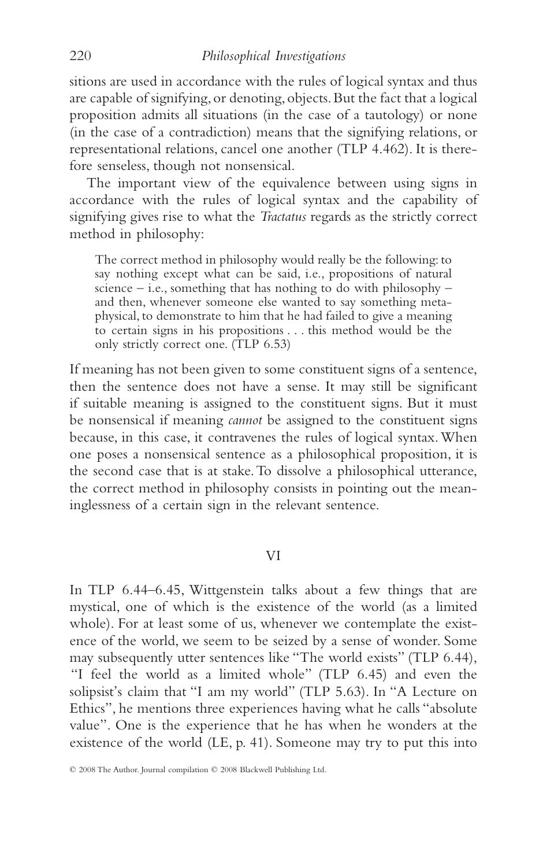sitions are used in accordance with the rules of logical syntax and thus are capable of signifying, or denoting, objects. But the fact that a logical proposition admits all situations (in the case of a tautology) or none (in the case of a contradiction) means that the signifying relations, or representational relations, cancel one another (TLP 4.462). It is therefore senseless, though not nonsensical.

The important view of the equivalence between using signs in accordance with the rules of logical syntax and the capability of signifying gives rise to what the *Tractatus* regards as the strictly correct method in philosophy:

The correct method in philosophy would really be the following: to say nothing except what can be said, i.e., propositions of natural science  $-$  i.e., something that has nothing to do with philosophy  $$ and then, whenever someone else wanted to say something metaphysical, to demonstrate to him that he had failed to give a meaning to certain signs in his propositions... this method would be the only strictly correct one. (TLP 6.53)

If meaning has not been given to some constituent signs of a sentence, then the sentence does not have a sense. It may still be significant if suitable meaning is assigned to the constituent signs. But it must be nonsensical if meaning *cannot* be assigned to the constituent signs because, in this case, it contravenes the rules of logical syntax.When one poses a nonsensical sentence as a philosophical proposition, it is the second case that is at stake.To dissolve a philosophical utterance, the correct method in philosophy consists in pointing out the meaninglessness of a certain sign in the relevant sentence.

### VI

In TLP 6.44–6.45, Wittgenstein talks about a few things that are mystical, one of which is the existence of the world (as a limited whole). For at least some of us, whenever we contemplate the existence of the world, we seem to be seized by a sense of wonder. Some may subsequently utter sentences like "The world exists" (TLP 6.44), "I feel the world as a limited whole" (TLP 6.45) and even the solipsist's claim that "I am my world" (TLP 5.63). In "A Lecture on Ethics", he mentions three experiences having what he calls "absolute value". One is the experience that he has when he wonders at the existence of the world (LE, p. 41). Someone may try to put this into

<sup>© 2008</sup> The Author. Journal compilation © 2008 Blackwell Publishing Ltd.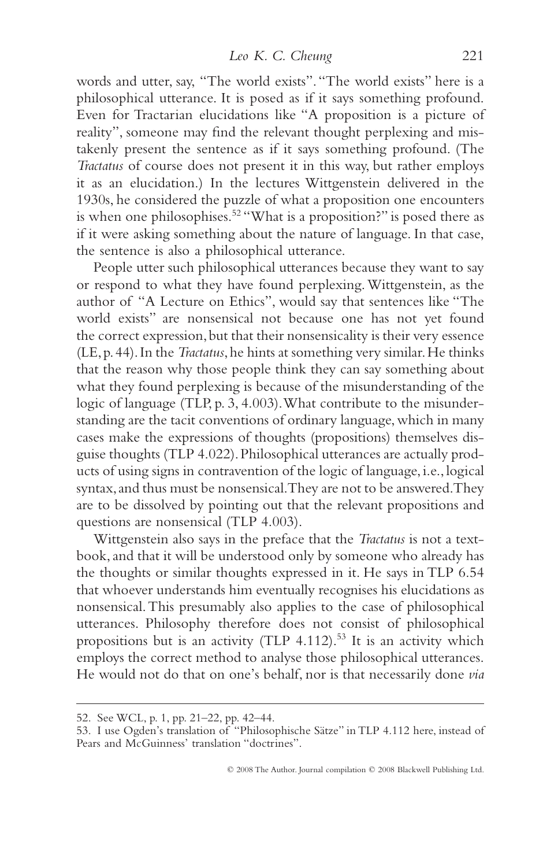words and utter, say, "The world exists"."The world exists" here is a philosophical utterance. It is posed as if it says something profound. Even for Tractarian elucidations like "A proposition is a picture of reality", someone may find the relevant thought perplexing and mistakenly present the sentence as if it says something profound. (The *Tractatus* of course does not present it in this way, but rather employs it as an elucidation.) In the lectures Wittgenstein delivered in the 1930s, he considered the puzzle of what a proposition one encounters is when one philosophises.<sup>52</sup> "What is a proposition?" is posed there as if it were asking something about the nature of language. In that case, the sentence is also a philosophical utterance.

People utter such philosophical utterances because they want to say or respond to what they have found perplexing.Wittgenstein, as the author of "A Lecture on Ethics", would say that sentences like "The world exists" are nonsensical not because one has not yet found the correct expression,but that their nonsensicality is their very essence (LE,p.44).In the *Tractatus*,he hints at something very similar.He thinks that the reason why those people think they can say something about what they found perplexing is because of the misunderstanding of the logic of language (TLP, p. 3, 4.003).What contribute to the misunderstanding are the tacit conventions of ordinary language, which in many cases make the expressions of thoughts (propositions) themselves disguise thoughts (TLP 4.022).Philosophical utterances are actually products of using signs in contravention of the logic of language,i.e.,logical syntax, and thus must be nonsensical. They are not to be answered. They are to be dissolved by pointing out that the relevant propositions and questions are nonsensical (TLP 4.003).

Wittgenstein also says in the preface that the *Tractatus* is not a textbook, and that it will be understood only by someone who already has the thoughts or similar thoughts expressed in it. He says in TLP 6.54 that whoever understands him eventually recognises his elucidations as nonsensical.This presumably also applies to the case of philosophical utterances. Philosophy therefore does not consist of philosophical propositions but is an activity (TLP 4.112).<sup>53</sup> It is an activity which employs the correct method to analyse those philosophical utterances. He would not do that on one's behalf, nor is that necessarily done *via*

<sup>52.</sup> See WCL, p. 1, pp. 21–22, pp. 42–44.

<sup>53.</sup> I use Ogden's translation of "Philosophische Sätze" in TLP 4.112 here, instead of Pears and McGuinness' translation "doctrines".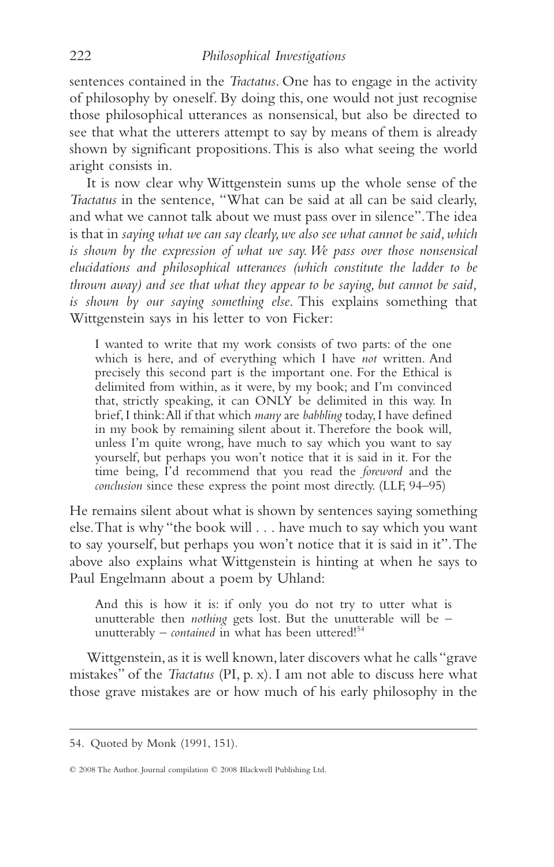sentences contained in the *Tractatus*. One has to engage in the activity of philosophy by oneself. By doing this, one would not just recognise those philosophical utterances as nonsensical, but also be directed to see that what the utterers attempt to say by means of them is already shown by significant propositions.This is also what seeing the world aright consists in.

It is now clear why Wittgenstein sums up the whole sense of the *Tractatus* in the sentence, "What can be said at all can be said clearly, and what we cannot talk about we must pass over in silence".The idea is that in *saying what we can say clearly, we also see what cannot be said, which is shown by the expression of what we say.We pass over those nonsensical elucidations and philosophical utterances (which constitute the ladder to be thrown away) and see that what they appear to be saying, but cannot be said, is shown by our saying something else*. This explains something that Wittgenstein says in his letter to von Ficker:

I wanted to write that my work consists of two parts: of the one which is here, and of everything which I have *not* written. And precisely this second part is the important one. For the Ethical is delimited from within, as it were, by my book; and I'm convinced that, strictly speaking, it can ONLY be delimited in this way. In brief, I think:All if that which *many* are *babbling* today, I have defined in my book by remaining silent about it.Therefore the book will, unless I'm quite wrong, have much to say which you want to say yourself, but perhaps you won't notice that it is said in it. For the time being, I'd recommend that you read the *foreword* and the *conclusion* since these express the point most directly. (LLF, 94–95)

He remains silent about what is shown by sentences saying something else.That is why "the book will . . . have much to say which you want to say yourself, but perhaps you won't notice that it is said in it".The above also explains what Wittgenstein is hinting at when he says to Paul Engelmann about a poem by Uhland:

And this is how it is: if only you do not try to utter what is unutterable then *nothing* gets lost. But the unutterable will be – unutterably – *contained* in what has been uttered!<sup>54</sup>

Wittgenstein, as it is well known, later discovers what he calls "grave mistakes" of the *Tractatus* (PI, p. x). I am not able to discuss here what those grave mistakes are or how much of his early philosophy in the

<sup>54.</sup> Quoted by Monk (1991, 151).

<sup>© 2008</sup> The Author. Journal compilation © 2008 Blackwell Publishing Ltd.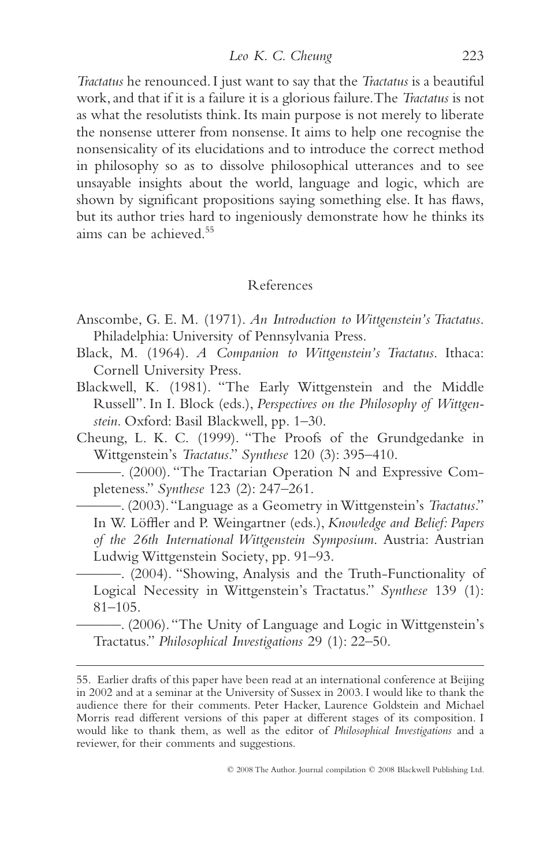*Tractatus* he renounced. I just want to say that the *Tractatus* is a beautiful work, and that if it is a failure it is a glorious failure.The *Tractatus* is not as what the resolutists think. Its main purpose is not merely to liberate the nonsense utterer from nonsense. It aims to help one recognise the nonsensicality of its elucidations and to introduce the correct method in philosophy so as to dissolve philosophical utterances and to see unsayable insights about the world, language and logic, which are shown by significant propositions saying something else. It has flaws, but its author tries hard to ingeniously demonstrate how he thinks its aims can be achieved.<sup>55</sup>

## References

- Anscombe, G. E. M. (1971). *An Introduction to Wittgenstein's Tractatus*. Philadelphia: University of Pennsylvania Press.
- Black, M. (1964). *A Companion to Wittgenstein's Tractatus*. Ithaca: Cornell University Press.
- Blackwell, K. (1981). "The Early Wittgenstein and the Middle Russell". In I. Block (eds.), *Perspectives on the Philosophy of Wittgenstein*. Oxford: Basil Blackwell, pp. 1–30.
- Cheung, L. K. C. (1999). "The Proofs of the Grundgedanke in Wittgenstein's *Tractatus*." *Synthese* 120 (3): 395–410.

———. (2000). "The Tractarian Operation N and Expressive Completeness." *Synthese* 123 (2): 247–261.

———. (2003)."Language as a Geometry in Wittgenstein's *Tractatus*." In W. Löffler and P. Weingartner (eds.), *Knowledge and Belief: Papers of the 26th International Wittgenstein Symposium*. Austria: Austrian Ludwig Wittgenstein Society, pp. 91–93.

———. (2004). "Showing, Analysis and the Truth-Functionality of Logical Necessity in Wittgenstein's Tractatus." *Synthese* 139 (1): 81–105.

———. (2006)."The Unity of Language and Logic in Wittgenstein's Tractatus." *Philosophical Investigations* 29 (1): 22–50.

<sup>55.</sup> Earlier drafts of this paper have been read at an international conference at Beijing in 2002 and at a seminar at the University of Sussex in 2003. I would like to thank the audience there for their comments. Peter Hacker, Laurence Goldstein and Michael Morris read different versions of this paper at different stages of its composition. I would like to thank them, as well as the editor of *Philosophical Investigations* and a reviewer, for their comments and suggestions.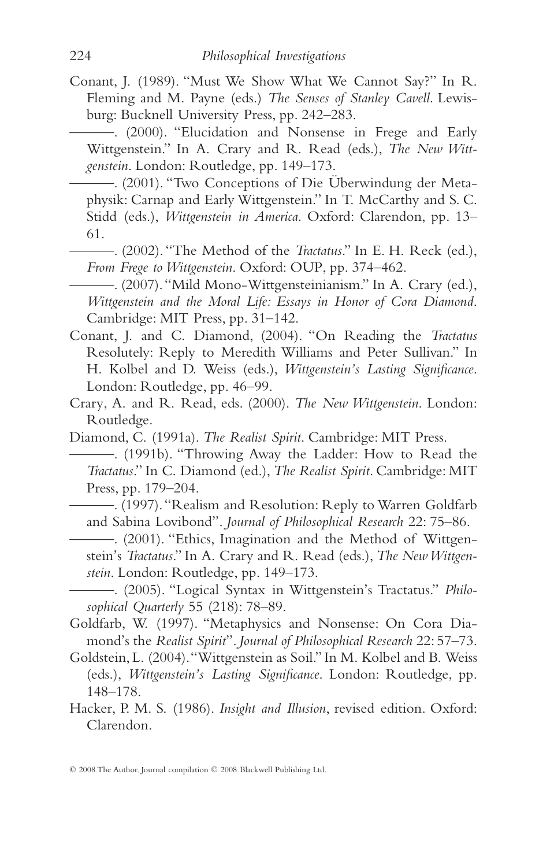Conant, J. (1989). "Must We Show What We Cannot Say?" In R. Fleming and M. Payne (eds.) *The Senses of Stanley Cavell*. Lewisburg: Bucknell University Press, pp. 242–283.

———. (2000). "Elucidation and Nonsense in Frege and Early Wittgenstein." In A. Crary and R. Read (eds.), *The New Wittgenstein*. London: Routledge, pp. 149–173.

———. (2001). "Two Conceptions of Die Überwindung der Metaphysik: Carnap and Early Wittgenstein." In T. McCarthy and S. C. Stidd (eds.), *Wittgenstein in America*. Oxford: Clarendon, pp. 13– 61.

———. (2002). "The Method of the *Tractatus*." In E. H. Reck (ed.), *From Frege to Wittgenstein*. Oxford: OUP, pp. 374–462.

———. (2007)."Mild Mono-Wittgensteinianism." In A. Crary (ed.), *Wittgenstein and the Moral Life: Essays in Honor of Cora Diamond*. Cambridge: MIT Press, pp. 31–142.

- Conant, J. and C. Diamond, (2004). "On Reading the *Tractatus* Resolutely: Reply to Meredith Williams and Peter Sullivan." In H. Kolbel and D. Weiss (eds.), *Wittgenstein's Lasting Significance*. London: Routledge, pp. 46–99.
- Crary, A. and R. Read, eds. (2000). *The New Wittgenstein*. London: Routledge.

Diamond, C. (1991a). *The Realist Spirit*. Cambridge: MIT Press.

———. (1991b). "Throwing Away the Ladder: How to Read the *Tractatus*." In C. Diamond (ed.), *The Realist Spirit*. Cambridge: MIT Press, pp. 179–204.

———. (1997)."Realism and Resolution: Reply to Warren Goldfarb and Sabina Lovibond". *Journal of Philosophical Research* 22: 75–86.

———. (2001). "Ethics, Imagination and the Method of Wittgenstein's *Tractatus*." In A. Crary and R. Read (eds.), *The NewWittgenstein*. London: Routledge, pp. 149–173.

———. (2005). "Logical Syntax in Wittgenstein's Tractatus." *Philosophical Quarterly* 55 (218): 78–89.

- Goldfarb, W. (1997). "Metaphysics and Nonsense: On Cora Diamond's the *Realist Spirit*". *Journal of Philosophical Research* 22: 57–73.
- Goldstein, L. (2004)."Wittgenstein as Soil." In M. Kolbel and B. Weiss (eds.), *Wittgenstein's Lasting Significance*. London: Routledge, pp. 148–178.
- Hacker, P. M. S. (1986). *Insight and Illusion*, revised edition. Oxford: Clarendon.

<sup>© 2008</sup> The Author. Journal compilation © 2008 Blackwell Publishing Ltd.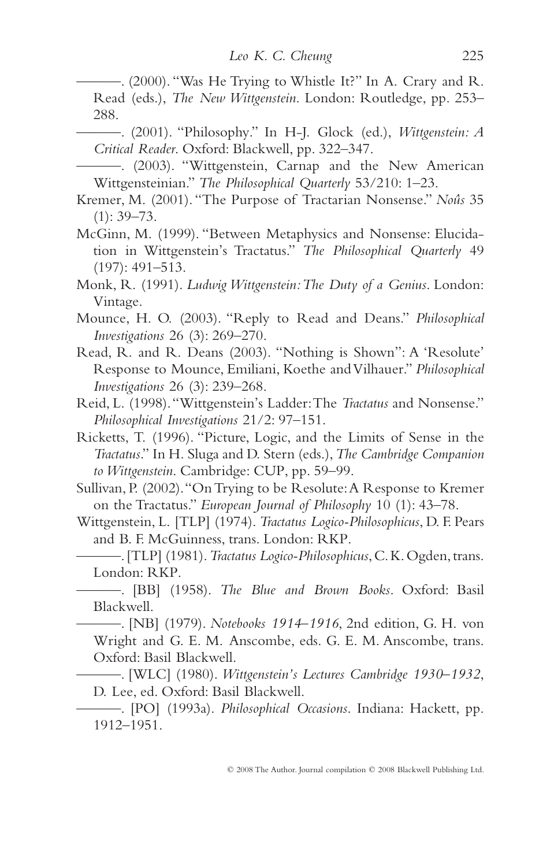———. (2000). "Was He Trying to Whistle It?" In A. Crary and R. Read (eds.), *The New Wittgenstein*. London: Routledge, pp. 253– 288.

———. (2001). "Philosophy." In H-J. Glock (ed.), *Wittgenstein: A Critical Reader*. Oxford: Blackwell, pp. 322–347.

———. (2003). "Wittgenstein, Carnap and the New American Wittgensteinian." *The Philosophical Quarterly* 53/210: 1–23.

Kremer, M. (2001)."The Purpose of Tractarian Nonsense." *Noûs* 35  $(1): 39 - 73.$ 

- McGinn, M. (1999). "Between Metaphysics and Nonsense: Elucidation in Wittgenstein's Tractatus." *The Philosophical Quarterly* 49 (197): 491–513.
- Monk, R. (1991). *Ludwig Wittgenstein:The Duty of a Genius*. London: Vintage.
- Mounce, H. O. (2003). "Reply to Read and Deans." *Philosophical Investigations* 26 (3): 269–270.
- Read, R. and R. Deans (2003). "Nothing is Shown": A 'Resolute' Response to Mounce, Emiliani, Koethe andVilhauer." *Philosophical Investigations* 26 (3): 239–268.
- Reid, L. (1998)."Wittgenstein's Ladder:The *Tractatus* and Nonsense." *Philosophical Investigations* 21/2: 97–151.
- Ricketts, T. (1996). "Picture, Logic, and the Limits of Sense in the *Tractatus*." In H. Sluga and D. Stern (eds.),*The Cambridge Companion to Wittgenstein*. Cambridge: CUP, pp. 59–99.
- Sullivan, P. (2002)."OnTrying to be Resolute:A Response to Kremer on the Tractatus." *European Journal of Philosophy* 10 (1): 43–78.
- Wittgenstein, L. [TLP] (1974). *Tractatus Logico-Philosophicus*, D. F. Pears and B. F. McGuinness, trans. London: RKP.
	- ———.[TLP] (1981).*Tractatus Logico-Philosophicus*,C.K.Ogden,trans. London: RKP.
	- ———. [BB] (1958). *The Blue and Brown Books*. Oxford: Basil Blackwell.

———. [NB] (1979). *Notebooks 1914–1916*, 2nd edition, G. H. von Wright and G. E. M. Anscombe, eds. G. E. M. Anscombe, trans. Oxford: Basil Blackwell.

———. [WLC] (1980). *Wittgenstein's Lectures Cambridge 1930–1932*, D. Lee, ed. Oxford: Basil Blackwell.

———. [PO] (1993a). *Philosophical Occasions*. Indiana: Hackett, pp. 1912–1951.